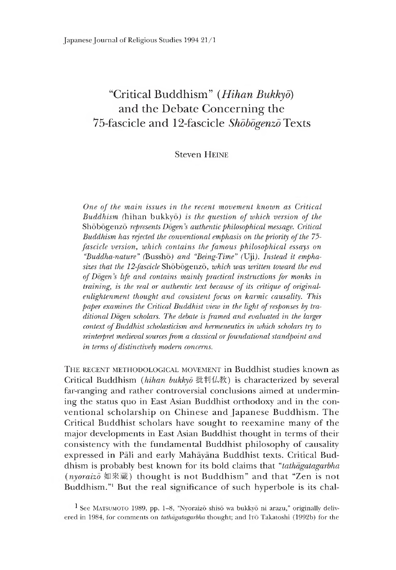# "Critical Buddhism" *{Hihan Bukkyd)* and the Debate Concerning the 75-fascicle and 12-fascicle *Shobogenzo* Texts

# **Steven HEINE**

*One of the main issues in the recent movement known as Critical Buddhism* (hihan bukkyo) *is the question of which version of the* Shobogenzo represents Dogen's authentic philosophical message. Critical *Buddhism has rejected the conventional emphasis on the priority of the 75 fascicle version,which contains the famous philosophical essays on "Buddha-nature"* (Bussho) *and "Being-Time"* (Uji). *Instead it emphasizes that the 12-fascicle* Shobogenzo, *which was written toward the end* of Dogen's life and contains mainly practical instructions for monks in *training, is the real or authentic text because of its critique of originalenlightenment thought and consistent focus on karmic causality. This paper examines the Critical Buddhist view in the light of responses by traditional Dogen scholars. The debate is framed and evaluated in the larger context of Buddhist scholasticism and hermeneutics in which scholars try to reinterpret medieval sources from a classical or foundational standpoint and in terms of distinctively modern concerns.*

The recent methodological movement in Buddhist studies known as Critical Buddhism (hihan bukkyō 批判仏教) is characterized by several far-ranging and rather controversial conclusions aimed at undermining the status quo in East Asian Buddhist orthodoxy and in the conventional scholarship on Chinese and Japanese Buddhism. The Critical Buddhist scholars have soueht to reexamine many of the major developments in East Asian Buddhist thought in terms of their consistency with the fundamental Buddhist philosophy of causality expressed in Pali and early Mahayana Buddhist texts. Critical Buddhism is probably best known for its bold claims that "tathagatagarbha" (nyoraizo 如来蔵) thought is not Buddhism" and that "Zen is not Buddhism." But the real significance of such hyperbole is its chal-

 $1$  See MATSUMOTO 1989, pp. 1–8, "Nyoraizo shiso wa bukkyo ni arazu," originally delivered in 1984, for comments on *tathagatagarbha* thought; and Ito Takatoshi (1992b) for the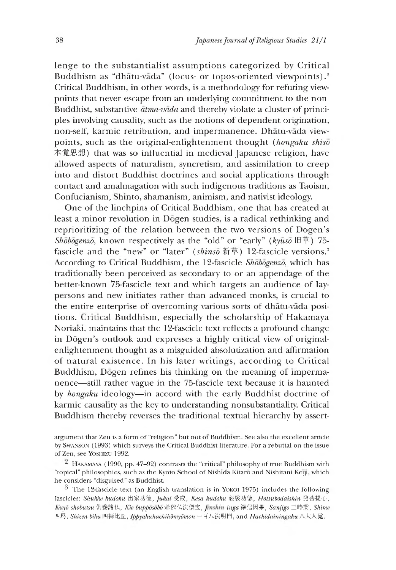lenge to the substantialist assumptions categorized by Critical Buddhism as "dhātu-vāda" (locus- or topos-oriented viewpoints).<sup>2</sup> Critical Buddhism, in other words, is a methodology for refuting viewpoints that never escape from an underlying commitment to the non-Buddhist, substantive *atma-vada* and thereby violate a cluster of principles involving causality, such as the notions of dependent origination, non-self, karmic retribution, and impermanence. Dhātu-vāda viewpoints, such as the original-enlightenment thought *(hongaku shiso* 本覚思想) that was so influential in medieval Japanese religion, have allowed aspects of naturalism, syncretism, and assimilation to creep into and distort Buddhist doctrines and social applications through contact and amalmagation with such indigenous traditions as Taoism, Confucianism, Shinto, shamanism, animism, and nativist ideology.

One of the linchpins of Critical Buddhism, one that has created at least a minor revolution in Dogen studies, is a radical rethinking and reprioritizing of the relation between the two versions of Dōgen's *Shobogenzo,* known respectively as the "old" or "early" *(kyuso* 旧单ノ 75 fascicle and the "new" or "later" (shinso 新草) 12-fascicle versions.<sup>3</sup> According to critical Buddhism, the 12-fascicle *Shobogenzo,* which has traditionally been perceived as secondary to or an appendage of the better-known 75-fascicle text and which targets an audience of laypersons and new initiates rather than advanced monks, is crucial to the entire enterprise of overcoming various sorts of dhatu-vada positions. critical Buddhism, especially the scholarship of Hakamaya Noriaki, maintains that the 12-fascicle text reflects a profound change in Dōgen's outlook and expresses a highly critical view of originalenlightenment thought as a misguided absolutization and affirmation of natural existence. In his later writings, according to Critical Buddhism, Dōgen refines his thinking on the meaning of impermanence—still rather vague in the 75-fascicle text because it is haunted by *hongaku* ideology—in accord with the early Buddhist doctrine of karmic causality as the key to understanding nonsubstantiality. Critical Buddhism thereby reverses the traditional textual hierarchy by assert-

argument that Zen is a form of "religion" but not of Buddhism. See also the excellent article by Swanson (1993) which surveys the Critical Buddhist literature. For a rebuttal on the issue of Zen, see Yoshizu 1992.

 $2$  HAKAMAYA (1990, pp. 47-92) contrasts the "critical" philosophy of true Buddhism with "topical" philosophies, such as the Kyoto School of Nishida Kitaro and Nishitani Keiji, which he considers "disguised" as Buddhist.

 $3$  The 12-fascicle text (an English translation is in Yokoi 1975) includes the following fascicles: *Shukke kudoku 出家功徳,Jukai* 受戒*,Kesa kudoku* 装姿功徳,*Hotsubodaishin* 発菩提心, *Kuyd shobutsu*供養諸仏*,Kie bupposobo*帰依仏法僧宝,/ *inga*深信因果,*Sanjigo*三時業*,Shime* 四馬, Shizen biku 四禅比丘, Ippyakuhachihōmyōmon 一百八法明門, and Hachidainingaku 八大人覚.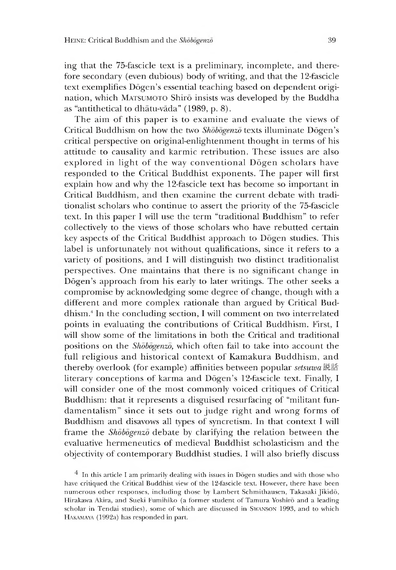ing that the 75-fascicle text is a preliminary, incomplete, and therefore secondary (even dubious) body of writing, and that the 12-fascicle text exemplifies Dōgen's essential teaching based on dependent origination, which MATSUMOTO Shiro insists was developed by the Buddha as "antithetical to dhātu-vāda" (1989, p. 8).

The aim of this paper is to examine and evaluate the views of Critical Buddhism on how the two *Shobogenzo* texts illuminate Dogen's critical perspective on original-enliehtenment thought in terms of his attitude to causality and karmic retribution. These issues are also explored in light of the way conventional Dogen scholars have responded to the Critical Buddhist exponents. The paper will first explain how and why the 12-fascicle text has become so important in Critical Buddhism, and then examine the current debate with traditionalist scholars who continue to assert the priority of the 75-fascicle text. In this paper I will use the term "traditional Buddhism" to refer collectively to the views of those scholars who have rebutted certain key aspects of the Critical Buddhist approach to Dogen studies. This label is unfortunately not without qualifications, since it refers to a variety of positions, and I will distinguish two distinct traditionalist perspectives. One maintains that there is no significant change in Dōgen's approach from his early to later writings. The other seeks a compromise by acknowledging some degree of chanee, though with a different and more complex rationale than argued by critical Buddnism.4 In the concluding' section, I will comment on two interrelated points in evaluating the contributions of Critical Buddnism. First, I will show some of the limitations in both the Critical and traditional positions on the *Shobogenzo*, which often fail to take into account the full religious and historical context of Kamakura Buddhism, and thereby overlook (for example) affinities between popular *setsuwa* 説話 literary conceptions of karma and Dōgen's 12-fascicle text. Finally, I will consider one of the most commonly voiced critiques of Critical Buddhism: that it represents a disguised resurfacing of "militant fundamentalism" since it sets out to judge right and wrong forms of Buddhism and disavows all types of syncretism. In that context I will frame the *Shobogenzo* debate by clariryme the relation between the evaluative hermeneutics of medieval Buddhist scholasticism and the objectivity of contemporary Buddhist studies. I will also briefly discuss

 $4$  In this article I am primarily dealing with issues in Dogen studies and with those who have critiqued the Critical Buddhist view of the 12-fascicle text. However, there have been numerous other responses, including those by Lambert Schmithausen, Takasaki Jikidō, Hirakawa Akira, and Sueki Fumihiko (a former student of Tamura Yoshiro and a leading scholar in Tendai studies), some of which are discussed in Swanson 1993, and to which Hakamaya (1992a) has responded in part.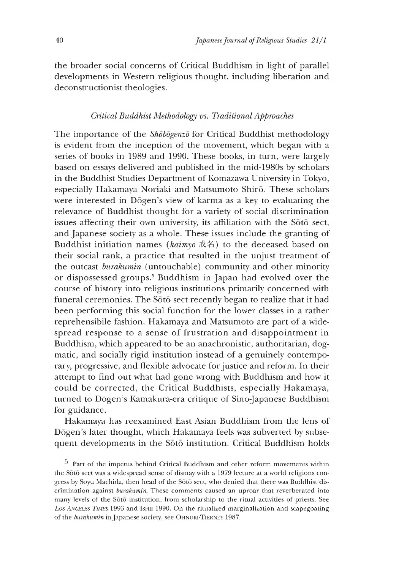the broader social concerns of Critical Buddhism in light of parallel developments in Western religious thought, including liberation and deconstructionist theologies.

#### *Critical Buddhist Methodology vs. Traditional Approaches*

The importance of the *Shobogenzo* for Critical Buddhist methodology is evident from the inception of the movement, which began with a series of books in 1989 and 1990. These books, in turn, were largely based on essays delivered and published in the mid-1980s by scholars in the Buddhist Studies Department of Komazawa University in Tokyo, especially Hakamaya Noriaki and Matsumoto Shiro. These scholars were interested in Dōgen's view of karma as a key to evaluating the relevance of Buddhist thought for a variety of social discrimination issues affecting their own university, its affiliation with the Soto sect, and Japanese society as a whole. These issues include the granting of Buddhist initiation names *(kaimyd* 戒名) to the deceased based on their social rank, a practice that resulted in the unjust treatment of the outcast *burakumin* (untouchable) community and other minority or dispossessed groups.<sup>5</sup> Buddhism in Japan had evolved over the course of nistory into religious institutions primarily concerned with funeral ceremonies. The Soto sect recently began to realize that it had been performing this social function for the lower classes in a rather reprehensibile fashion. Hakamaya and Matsumoto are part of a widespread response to a sense of frustration and disappointment in Buddhism, which appeared to be an anachronistic, authoritarian, dogmatic, and socially rigid institution instead of a genuinely contemporary, progressive, and flexible advocate for justice and reform. In their attempt to find out what had eone wrong with Buddhism and how it could be corrected, the critical Buddhists, especially Hakamaya, turned to Dōgen's Kamakura-era critique of Sino-Japanese Buddhism for guidance.

Hakamaya has reexamined East Asian Buddhism from the lens of Dōgen's later thought, which Hakamaya feels was subverted by subsequent developments in the Sōtō institution. Critical Buddhism holds

 $5$  Part of the impetus behind Critical Buddhism and other reform movements within the Soto sect was a widespread sense of dismay with a 1979 lecture at a world religions congress by Soyu Machida, then head of the Soto sect, who denied that there was Buddhist discrimination against *burakumin.* These comments caused an uproar that reverberated into many levels of the Soto institution, from scholarship to the ritual activities of priests. See Los ANGELES TIMES 1993 and ISHII 1990. On the ritualized marginalization and scapegoating of the *burakumin* in Japanese society, see Ohnuki-Tierney 1987.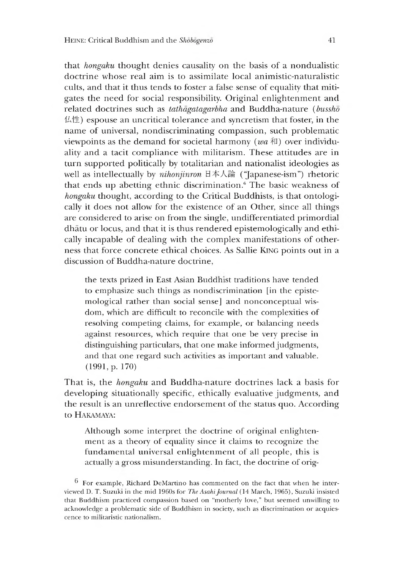that *hongaku* thought denies causality on the basis of a nondualistic doctrine whose real aim is to assimilate local animistic-naturalistic cults, and that it thus tends to foster a false sense of equality that mitigates the need for social responsibility. Original enlightenment and related doctrines such as *tathagatagarbha* and Buddha-nature *(bussho* 仏性)espouse an uncritical tolerance and syncretism that foster, in the name of universal, nondiscriminating compassion, such problematic viewpoints as the demand for societal harmony  $(wa \#1)$  over individuality and a tacit compliance with militarism. Ihese attitudes are in turn supported politically by totalitarian and nationalist ideologies as well as intellectually by *nihonjinron* 日本人論("Japanese-ism") rhetoric that ends up abetting ethnic discrimination.<sup>6</sup> The basic weakness of *hongaku* thought, according to the Critical Buddnists, is that ontologically it does not allow for the existence of an Other, since all things are considered to arise on from the single, undifferentiated primordial dhatu or locus, and that it is thus rendered epistemologically and ethically incapable of dealing with the complex manifestations of otherness that force concrete etnical choices. As Sallie King points out in a discussion of Buddha-nature doctrine,

the texts prized in East Asian Buddnist traditions have tended to emphasize such things as nondiscrimination [in the epistemological rather than social sense] and nonconceptual wisdom, which are difficult to reconcile with the complexities of resolving competing claims, for example, or balancing needs against resources, which require that one be very precise in distinguishing particulars, that one make informed judgments, and that one regard such activities as important and valuable.  $(1991, p. 170)$ 

That is, the *hongaku* and Buddha-nature doctrines lack a basis for developing situationally specific, etnically evaluative judgments, and the result is an unreflective endorsement of the status quo. According to HAKAMAYA:

Although some interpret the doctrine of original enlightenment as a theory of equality since it claims to recognize the fundamental universal enlightenment of all people, this is actually a gross misunderstanding. In fact, the doctrine of orig-

 $6$  For example, Richard DeMartino has commented on the fact that when he interviewed D. T. Suzuki in the mid 1960s for *The Asahi Journal* (14 March, 1965), Suzuki insisted that Buddhism practiced compassion based on "motherly love," but seemed unwilling to acknowledge a problematic side of Buddhism in society, such as discrimination or acquiescence to militaristic nationalism.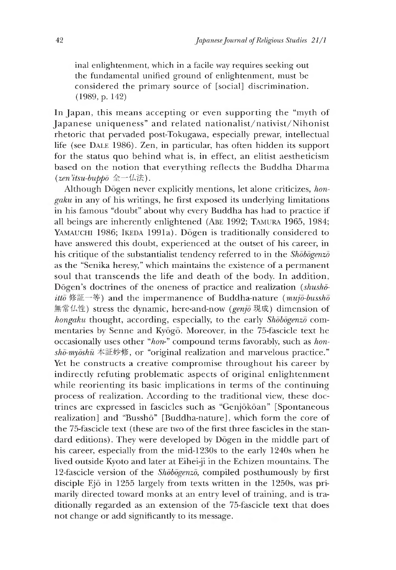inal enlightenment, which in a facile way requires seeking out the fundamental unified ground of enlightenment, must be considered the primary source of [social] discrimination. (1989, p. 142)

In Japan, this means accepting or even supporting the "myth of Japanese uniqueness" and related nationalist/nativist/Nihonist rhetoric that pervaded post-Tokugawa, especially prewar, intellectual life (see Dale 1986). Zen, in particular, has often hidden its support for the status quo behind what is, in effect, an elitist aestheticism based on the notion that everything reflects the Buddha Dharma (*zen'itsu-buppd* 全一仏法).

Although Dogen never explicitly mentions, let alone criticizes, *honmku* in any of his writings, he first exposed its underlying limitations in his famous "doubt" about why every Buddha has had to practice if all beings are inherently enlightened (ABE 1992; TAMURA 1965, 1984; YAMAUCHI 1986; IKEDA 1991a). Dogen is traditionally considered to have answered this doubt, experienced at the outset of his career, in his critique of the substantialist tendency referred to in the *Shobogenzo* as the "Senika heresy," which maintains the existence of a permanent soul that transcends the life and death of the body. In addition, Dogen's doctrines of the oneness of practice and realization *(shushoitto* /[参証一等)and the impermanence of Buddha-nature (*mujo-bussho* 無常仏性) stress the dynamic, here-and-now *(genjo* 現成) dimension of *hongaku* thought, according, especially, to the early *Shobogenzo* commentaries by Senne and Kyogo. Moreover, in the 75-fascicle text he occasionally uses other *"hon-"* compound terms favorably, such as *hon*shō-myōshū 本証妙修, or "original realization and marvelous practice." Yet he constructs a creative compromise throughout his career by indirectly refuting problematic aspects of original enlightenment while reorienting its basic implications in terms of the continuing process of realization. According to the traditional view, these doctrines are expressed in fascicles such as "Genjōkōan" [Spontaneous realization] and "Busshō" [Buddha-nature], which form the core of the 75-fascicle text (these are two of the first three fascicles in the standard editions). They were developed by Dogen in the middle part of his career, especially from the mid-1230s to the early 1240s when he lived outside Kyoto and later at Eihei-ji m the Echizen mountains. The 12-fascicle version of the *Shobogenzo*, compiled posthumously by first disciple Ejō in 1255 largely from texts written in the 1250s, was primarily directed toward monks at an entry level of training, and is traditionally regarded as an extension of the 75-fascicle text that does not change or add significantly to its messaee.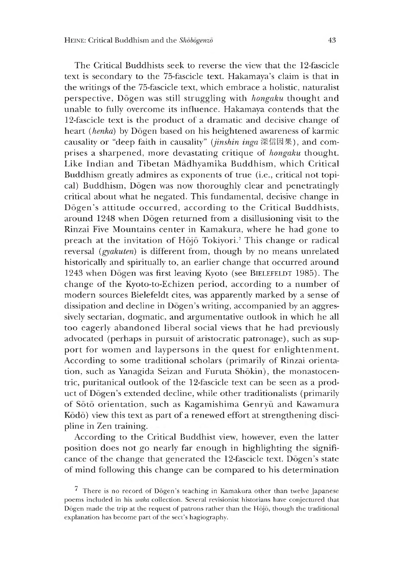The Critical Buddhists seek to reverse the view that the 12-fascicle text is secondary to the 75-fascicle text. Hakamaya's claim is that in the writings of the 75-fascicle text, which embrace a holistic, naturalist perspective, Dogen was still struggling with *hongaku* thought and unable to fully overcome its influence. Hakamaya contends that the 12-fascicle text is the product of a dramatic and decisive change of heart *(henka)* by Dogen based on his heightened awareness of karmic causality or "deep faith in causality" *(jinshin inga* 深信因果), and comprises a sharpened, more devastating critique of *hongaku* thought. Like Indian and Tibetan Madhyamika Buddhism, which critical Buddhism greatly admires as exponents of true (i.e., critical not topical) Buddhism, Dogen was now thoroughly clear and penetratingly critical about what he negated. This fundamental, decisive change in Dōgen's attitude occurred, according to the Critical Buddhists, around 1248 when Dogen returned from a disillusioning visit to the Rinzai *tivc* Mountains center in Kamakura, where he had gone to preach at the invitation of Hojo Tokiyori.<sup>7</sup> This change or radical reversal (*gyakuten*) is different from, though by no means unrelated historically and spiritually to, an earlier change that occurred around 1243 when Dogen was first leaving Kyoto (see BIELEFELDT 1985). The change of the Kyoto-to-Echizen period, according to a number of modern sources Bielefeldt cites, was apparently marked by a sense of dissipation and decline in Dōgen's writing, accompanied by an aggressively sectarian, dogmatic, and argumentative outlook in which he all too eagerly abandoned liberal social views that he had previously advocated (perhaps in pursuit of aristocratic patronage), such as support for women and laypersons in the quest for enlightenment. According to some traditional scholars (primarily of Rinzai orientation, such as Yanagida Seizan and Furuta Shokm*),* the monastocentric, puritanical outlook of the 12-fascicle text can be seen as a product of Dōgen's extended decline, while other traditionalists (primarily of Soto orientation, such as Kagamishima Genryu and Kawamura  $K\ddot{\text{o}}d\ddot{\text{o}})$  view this text as part of a renewed effort at strengthening discipline in Zen training.

According to the Critical Buddnist view, however, even the latter position does not go nearly far enough in highlighting the significance of the change that generated the 12-fascicle text. Dogen's state of mind following this change can be compared to his determination

 $7$  There is no record of Dōgen's teaching in Kamakura other than twelve Japanese poems included in his *waka* collection. Several revisionist historians have conjectured that Dogen made the trip at the request of patrons rather than the Hojo, though the traditional explanation has become part of the sect's hagiography.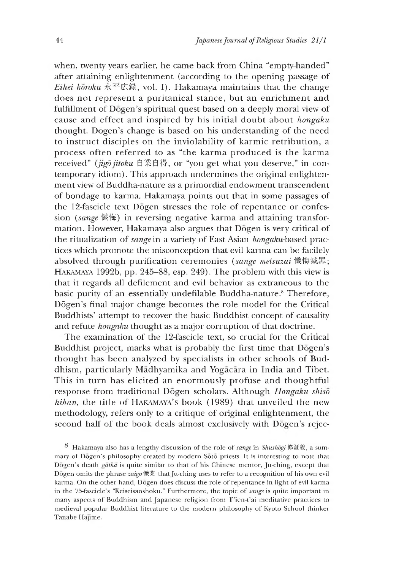when, twenty years earlier, he came back from China "empty-handed" after attaining enlightenment (according to the opening passage of *Eihei kōroku* 水平広録, vol. I). Hakamaya maintains that the change does not represent a puritanical stance, but an enrichment and fulfillment of Dogen's spiritual quest based on a deeply moral view of cause and effect and inspired by his initial doubt about *hongaku* thought. Dōgen's change is based on his understanding of the need to instruct disciples on the inviolability of karmic retribution, a process often referred to as "the karma produced is the karma received" (jigō-jitoku 自業自得, or "you get what you deserve," in contemporary idiom). This approach undermines the original enlightenment view of Buddha-nature as a primordial endowment transcendent of bondage to karma. Hakamaya points out that in some passages of the 12-fascicle text Dogen stresses the role of repentance or confession *(sange* 懺悔) in reversing negative karma and attaining transformation. However, Hakamaya also argues that Dogen is very critical of the ritualization of *sange* in a variety of East Asian *hongaku*-based practices which promote the misconception that evil karma can be facilely absolved through purification ceremonies (sange metsuzai 懺悔滅罪; HAKAMAYA 1992b, pp. 245-88, esp. 249). The problem with this view is that it regards all denlement and evil behavior as extraneous to the basic purity of an essentially undefilable Buddha-nature.<sup>8</sup> Therefore, D<sup>6</sup> gen's final major change becomes the role model for the Critical Buddhists' attempt to recover the basic Buddhist concept of causality and refute *hongaku* thought as a major corruption of that doctrine.

The examination of the 12-fascicle text, so crucial for the Critical Buddhist project, marks what is probably the first time that Dogen's thought has been analyzed by specialists in other schools of Buddhism, particularly Mādhyamika and Yogācāra in India and Tibet. <sup>1</sup> his in turn has elicited an enormously profuse and thoughtful response from traditional Dogen scholars. Although *Hongaku shiso hihan*, the title of HAKAMAYA's book (1989) that unveiled the new methodology, refers only to a critique of original enlightenment, the second half of the book deals almost exclusively with Dogen's rejec-

8 Hakamaya also has a lengthy discussion of the role of *sange* in *Shushogi* 修証義, a summary of Dogen's philosophy created by modern Soto priests. It is interesting to note that Dogen's death *gatha* is quite similar to that of his Chinese mentor, Ju-ching, except that Dogen omits the phrase *zaigo* 懺業 that Ju-ching uses to refer to a recognition of his own evil karma. On the other hand, Dogen does discuss the role of repentance in light of evil karma in the 75-fascicle's "Keiseisanshoku." Furthermore, the topic of *sange* is quite important in many aspects of Buddhism and Japanese religion from T'ien-t'ai meditative practices to medieval popular Buddhist literature to the modern philosophy of Kyoto School thinker Tanabe Hajime.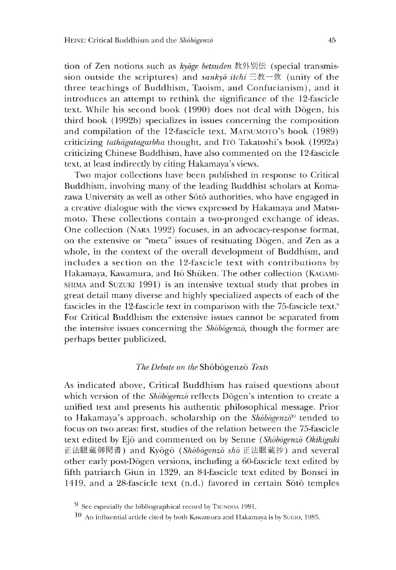tion of Zen notions such as *kyoge betsuden* 教外別伝 (special transmission outside the scriptures) and *sankyo itchi* 三教一致 (unity of the three teachings of Buddhism, Taoism, and Confucianism), and it introduces an attempt to rethink the significance of the 12-fascicle text. While his second book (1990) does not deal with Dogen, his third book (1992b) specializes in issues concernine the composition and compilation of the 12-fascicle text. MATSUMOTO's book (1989) criticizing *tathagatagarbha* thought, and ITO Takatoshi's book (1992a) criticizing Chinese Buddhism, have also commented on the 12-fascicle text, at least indirectly by citing Hakamaya's views.

Two major collections have been published in response to Critical Buddhism, involving many of the leading Buddhist scholars at Komazawa University as well as other Sōtō authorities, who have engaged in a creative dialogue with the views expressed by Hakamaya and Matsumoto. These collections contain a two-pronged exchange of ideas. One collection (Nara 1992) focuses, in an advocacy-response format, on the extensive or "meta" issues of resituating Dogen, and Zen as a whole, in the context of the overall development of Buddhism, and includes a section on the 12-fascicle text with contributions by Hakamaya, Kawamura, and Ito Shuken. The other collection (KAGAMIshima and Suzuki 1991) is an intensive textual study that probes in great detail many diverse and highly specialized aspects of each of the fascicles in the 12-fascicle text in comparison with the 75-fascicle text.<sup>9</sup> For Critical Buddhism the extensive issues cannot be separated from the intensive issues concerning the *Shobogenzo,* though the former are perhaps better publicized.

#### *7 ne Debate on the* Shobogenzo *Texts*

As indicated above, Critical Buddhism has raised questions about which version of the *Shobogenzo* reflects Dogen's intention to create a unified text and presents his authentic philosophical message. Prior to Hakamaya's approach, scholarship on the *Shobogenzo*<sup>10</sup> tended to focus on two areas: first, studies of the relation between the 75-fascicle text edited by Ejo and commented on by Senne (*Shobogenzo Okikigaki* 正法眼蔵御聞書)and Kyogo *{Shobogenzo sho*正法眼蔵抄)and several other early post-Dogen versions, including a 60-fascicle text edited by fifth patriarch Giun in 1329, an 84-fascicle text edited by Bonsei in 1419, and a 28-fascicle text (n.d.) favored in certain Soto temples

 $9$  See especially the bibliographical record by Tsunona 1991.

 $10$  An influential article cited by both Kawamura and Hakamaya is by SUGIO, 1985.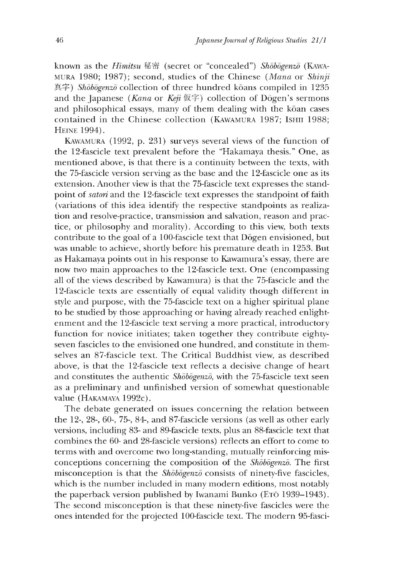known as the *Himitsu* 秘密 (secret or "concealed") Shobogenzo (KAWAmura 1980; 1987); second, studies of the Chinese *(Mana* or *Shinji* 真字) Shobogenzo collection of three hundred koans compiled in 1235 and the Japanese *(Kana* or *Keji* 仮字) collection of Dōgen's sermons and philosophical essays, many of them dealing with the koan cases contained in the Chinese collection (Kawamura 1987; Ishii 1988; Heine 1994).

KAWAMURA (1992, p. 231) surveys several views of the function of the 12-fascicle text prevalent before the "Hakamaya thesis." One, as mentioned above, is that there is a continuity between the texts, with the 75-fascicle version serving as the base and the 12-fascicle one as its extension. Another view is that the 75-fascicle text expresses the standpoint of *satori* and the 12-fascicle text expresses the standpoint of faith (variations of this idea identify the respective standpoints as realization and resolve-practice, transmission and salvation, reason and practice, or philosophy and morality). According to this view, both texts contribute to the goal of a 100-fascicle text that Dogen envisioned, but was unable to achieve, shortly before his premature death in 1253. But as Hakamaya points out in his response to Kawamura's essay, there are now two main approaches to the 12-fascicle text. One (encompassing all of the views described by Kawamura) is that the 75-fascicle and the 12-fascicle texts are essentially of equal validity though different in style and purpose, with the 75-fascicle text on a higher spiritual plane to be studied by those approaching or having already reached enlightenment and the 12-fascicle text serving a more practical, introductory function for novice initiates; taken together they contribute eightyseven fascicles to the envisioned one hundred, and constitute in themselves an 87-fascicle text. The Critical Buddhist view, as described above, is that the 12-fascicle text reflects a decisive change of heart and constitutes the authentic *Shobogenzo,* with the 75-fascicle text seen as a preliminary and unfinished version of somewhat questionable value (Hakamaya 1992c).

The debate generated on issues concerning the relation between the 12- 28- 60- 75- 84-, and 87-fascicle versions (as well as other early versions, including 83- and 89-fascicle texts, plus an 88-fascicle text that combines the 60- and 28-fascicle versions) reflects an effort to come to terms with and overcome two long-standing, mutually reinforcing misconceptions concerning the composition of the *Shobogenzo.* The first misconception is that the *Shobogenzo* consists of ninety-five fascicles, which is the number included in many modern editions, most notably the paperback version published by Iwanami Bunko (ETO 1939-1943). Ihe second misconception is that these ninety-five fascicles were the ones intended for the projected 100-fascicle text. The modern 95-fasci-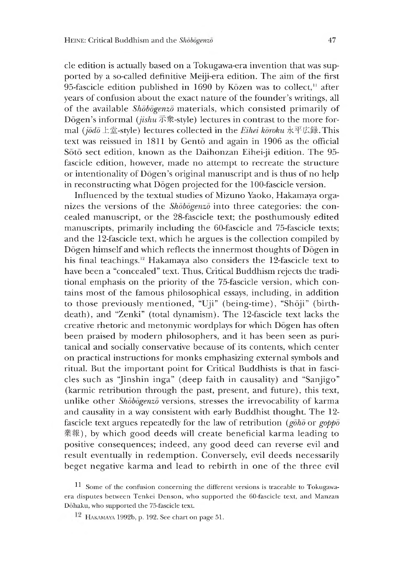cle edition is actually based on a Tokugawa-era invention that was supported by a so-called definitive Meiji-era edition. The aim of the first 95-fascicle edition published in 1690 by Közen was to collect, $"$  after years of confusion about the exact nature of the founder's writings, all of the available *Shobogenzo* materials, which consisted primarily of Dōgen's informal *(jishu* 示衆-style) lectures in contrast to the more formal *{jodo* 上堂-style) lectures collected in the *Eihei koroku* 水平広録.This text was reissued in  $1811$  by Gento and again in  $1906$  as the official Soto sect edition, known as the Daihonzan Eihei-ji edition. The 95 fascicle edition, however, made no attempt to recreate the structure or intentionality of Dōgen's original manuscript and is thus of no help in reconstructing what Dogen projected for the 100-fascicle version.

Influenced by the textual studies of Mizuno Yaoko, Hakamaya organizes the versions of the *Shobogenzo* into three categories: the concealed manuscript, or the 28-fascicle text; the posthumously edited manuscripts, primarily including the 60-fascicle and 75-fascicle texts; and the 12-fascicle text, which he argues is the collection compiled by Dogen himself and which reflects the innermost thoughts of Dogen in his final teachings.12 Hakamaya also considers the 12-fascicle text to have been a "concealed" text. Thus, Critical Buddhism rejects the traditional emphasis on the priority of the 75-fascicle version, which contains most of the famous philosopnical essays, including, in addition to those previously mentioned, "Uji" (being-time), "Shōji" (birthdeath), and "Zenki" (total dynamism). The 12-fascicle text lacks the creative rhetoric and metonymic wordplays for which Dogen has often been praised by modern philosophers, and it has been seen as puritanical and socially conservative because of its contents, which center on practical instructions for monks emphasizing external symbols and ritual. But the important point for Critical Buddhists is that in fascicles such as "Jinshin inga" (deep faith in causality) and "Sanjigo" (karmic retribution through the past, present, and future), this text, unlike other *shobogenzo* versions, stresses the irrevocability of karma and causality in a way consistent with early Buddhist thought. The 12 fascicle text argues repeatedly for the law of retribution *(goho* or *goppo* 業報),by which good deeds will create beneficial karma leading to positive consequences; indeed,any good deed can reverse evil and result eventually in redemption, conversely, evil deeds necessarily beget negative karma and lead to rebirth in one of the three evil

<sup>11</sup> Some of the confusion concerning the different versions is traceable to Tokugawaera disputes between Tenkei Denson, who supported the 60-fascicle text, and Manzan Dohaku, who supported the 75-fascicle text.

Hakamaya 1992b, p. 192. See chart on page 51.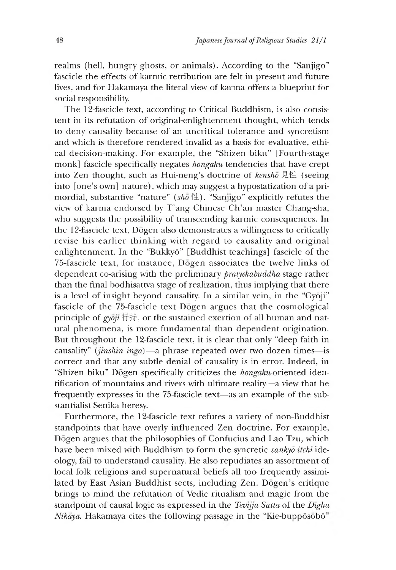realms (hell, hungry ghosts, or animals). According to the "Sanjigo" fascicle the effects of karmic retribution are felt in present and future lives, and for Hakamaya the literal view of karma offers a blueprint for social responsibility.

The 12-fascicle text, according to Critical Buddhism, is also consistent in its refutation of original-enlightenment thought, which tends to deny causality because of an uncritical tolerance and syncretism and which is therefore rendered invalid as a basis for evaluative, ethical decision-making. For example, the "Shizen biku" [Fourth-stage monk] fascicle specifically negates *hongaku* tendencies that have crept into Zen thought, such as Hui-neng's doctrine of *kensho* 見性 (seeing) into [one's own] nature), which may suggest a hypostatization of a primordial, substantive "nature" (sho性). "Sanjigo" explicitly refutes the view of karma endorsed by T'ang Chinese Ch'an master Chang-sha, who suggests the possibility of transcending karmic consequences. In the 12-fascicle text, Dogen also demonstrates a willingness to critically revise his earlier thinking with regard to causality and original enlightenment. In the "Bukkyō" [Buddhist teachings] fascicle of the 75-fascicle text, for instance, Dogen associates the twelve links of dependent co-arising with the preliminary *pratyekabuddha* stage rather than the final bodhisattva stage of realization, thus implying that there is a level of insight beyond causality. In a similar vein, in the "Gyōji" fascicle of the 75-fascicle text Dogen argues that the cosmological principle of *gyoji* 行持, or the sustained exertion of all human and natural phenomena, is more fundamental than dependent origination. But throughout the 12-fascicle text, it is clear that only "deep faith in causality" (*jinshin inga*)—a phrase repeated over two dozen times—is correct and that any subtle denial of causality is in error. Indeed, in "Shizen biku" Dogen specifically criticizes the *hongaku*-oriented identification of mountains and rivers with ultimate reality-a view that he frequently expresses in the 75-fascicle text—as an example of the substantialist Senika heresy.

Furthermore, the 12-fascicle text refutes a variety of non-Buddhist standpoints that have overly influenced Zen doctrine. For example, Dogen argues that the philosophies of Confucius and Lao Tzu, which have been mixed with Buddhism to form the syncretic *sankyo itchi* ideology, fail to understand causality. He also repudiates an assortment of local folk religions and supernatural beliefs all too frequently assimilated by East Asian Buddhist sects, including Zen. Dogen's critique brings to mind the refutation of Vedic ritualism and magic from the standpoint of causal logic as expressed in the *Tevijja Sutta* of the *Digha*  $Nihāya$ . Hakamaya cites the following passage in the "Kie-bupp $\bar{o}$ sob $\bar{o}$ "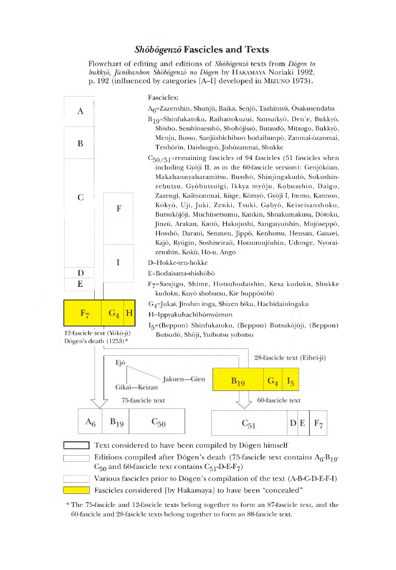# *Shobogenzo* **Fascicles and Texts**

Flowchart of editing and editions of *Shobogenzo* texts from *Dogen to* bukkyō, Jūnikanbon Shōbōgenzō no Dōgen by HAKAMAYA Noriaki 1992, p. 192 (influenced by categories [A-I] developed in MIZUNO 1973).



# $G_4$  $F_7$ H 12-fascicle text (Yoko-ji)

Dogen's death (1253)\*

# Fascicles:

A<sub>6</sub>=Zazenshin, Shunjū, Baika, Senjō, Tashintsū, Ōsakusendaba

- B<sub>19</sub>=Shinfukatoku, Raihaitokuzui, Sansuikyō, Den'e, Bukkyō, Shisho, Sesshinsesshō, Shohōjissō, Butsudō, Mitsugo, Bukkyō, Menju, Busso, Sanjushichihon bodaibunpo, Zanmai-ozanmai, Tenborin, Daishugyo, Jishozanmai, Shukke
- $C_{50}/5$  1=remaining fascicles of 94 fascicles (51 fascicles when including Gyōji II, as in the 60-fascicle version): Genjōkōan, Makahannyaharamitsu, Bussho, Shinjingakudo, Sokushinzebutsu, Gyōbutsuigi, Ikkya myōju, Kobusshin, Daigo, Zazengi, Kaiinzanmai, Kuge, Komyo, Gyoji I, Immo, Kannon, Kokyo, Uji, Juki, Zenki, Tsuki, Gabyo, Keiseisanshoku, Butsukõjõji, Muchūsetsumu, Kankin, Shoakumakusa, Dõtoku, Jinzu, Arakan, Katto, Hakujushi, Sangaiyuishin, Mujoseppo, Hosshō, Darani, Senmen, Jippō, Kenbutsu, Hensan, Ganzei, Kajō, Ryūgin, Soshiseiraii, Hotsumujōshin, Udonge, Nyoraizenshin, Kokū, Ho-u, Ango

D=Hokke-ten-hokke

E=Bodaisatta-shishobo

- F^=Sanjigo, Shime, Hotsubodaishin, Kesa kudoku, Shukke kudoku, Kuyo shobutsu, Kie bupposobo
- $G_4$ =Jukai, Jinshin inga, Shizen biku, Hachidainingaku
- H=Ippyakuhachihomyomon

l <sup>5</sup> =(Beppon) Shinfukatoku, (Beppon) Butsukojoji, (Beppon) Butsudo, Shoji, Yuibutsu yobutsu



] Text considered to have been compiled by Dogen himself

Editions compiled after Dōgen's death (75-fascicle text contains  $A_6 - B_{10}$ - $C_{50}$  and 60-fascicle text contains  $C_{51}$ -D-E-F<sub>7</sub>)

- Various fascicles prior to Dōgen's compilation of the text (A-B-C-D-E-F-I) Fascicles considered [by Hakamaya] to have been "concealed"
- \* The 75-fascicle and 12-fascicle texts belong together to form an 87-fascicle text, and the 60-fascicle and 28-fascicle texts belong together to form an 88-fascicle text.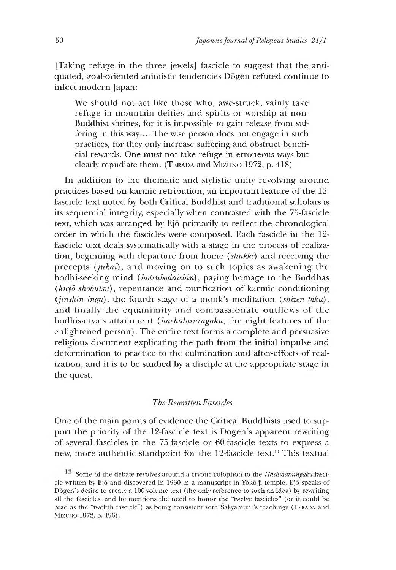[Taking refuge in the three jewels] fascicle to suggest that the antiquated, goal-oriented animistic tendencies Dogen refuted continue to infect modern Japan:

We should not act like those who, awe-struck, vainly take refuge in mountain deities and spirits or worship at non-Buddhist shrines, for it is impossible to gain release from suffering in this way.... The wise person does not engage in such practices, for they only increase suffering and obstruct beneficial rewards. One must not take refuge in erroneous ways but clearly repudiate them. (TERADA and MIZUNO 1972, p. 418)

In addition to the thematic and stylistic unity revolving around practices based on karmic retribution, an important feature of the 12fascicle text noted by both Critical Buddhist and traditional scholars is its sequential integrity, especially when contrasted with the 75-fascicle text, which was arranged by Ejo primarily to reflect the chronological order in which the fascicles were composed. Each fascicle in the 12 fascicle text deals systematically with a stage in the process of realization, beginning with departure from home *(shukke)* and receiving the precepts *(jukai),* and moving on to such topics as awakening the bodhi-seeking mind (*hotsubodaishin*), paying homage to the Buddhas *(kuyd shobutsu),* repentance and purification of karmic conditioning *{jinshin inga)*, the fourth stage of a monk's meditation *(shizen biku),* and finally the equanimity and compassionate outflows of the bodhisattva's attainment (*hachidainingaku,* the eight features of the enlightened person). The entire text forms a complete and persuasive religious document explicating the path from the initial impulse and determination to practice to the culmination and after-effects of realization, and it is to be studied by a disciple at the appropriate stage in the quest.

# *The Rewritten Fascicles*

One of the main points of evidence the Critical Buddhists used to support the priority of the 12-fascicle text is Dōgen's apparent rewriting of several fascicles in the 75-fascicle or 60-fascicle texts to express a new, more authentic standpoint for the 12-fascicle text.<sup>13</sup> This textual

Some of the debate revolves around a cryptic colophon to the *Hachidainingaku* fascicle written by Ejo and discovered in 1930 in a manuscript in Yoko-ji temple. Ejo speaks of Dogen's desire to create a 100-volume text (the only reference to such an idea) by rewriting all the fascicles, and he mentions the need to honor the "twelve fascicles" (or it could be read as the "twelfth fascicle") as being consistent with Sakyamuni's teachings (TERADA and Mizuno 1972, p. 496).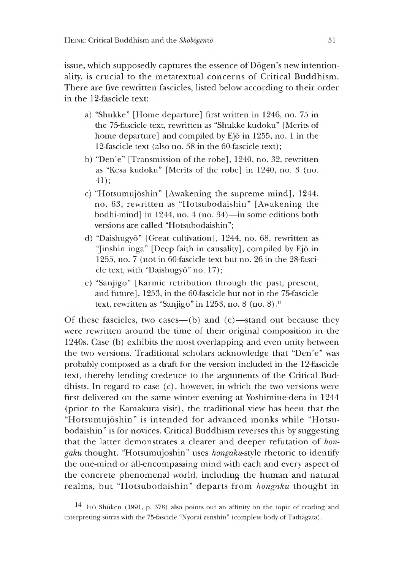issue, which supposedly captures the essence of Dōgen's new intentionality, is crucial to the metatextual concerns of Critical Buddhism. There are five rewritten fascicles, listed below according to their order in the 12-fascicle text:

- a) "Shukke" [Home departure] first written in 1246, no. 75 in the 75-fascicle text, rewritten as "Shukke kudoku" [Merits of home departure] and compiled by Ejō in 1255, no. 1 in the 12-fascicle text (also no. 58 in the 60-fascicle text);
- b) "Den'e" [Transmission of the robe], 1240, no. 32, rewritten as "Kesa kudoku" [Merits of the robe] in 1240, no. 3 (no. 41);
- c) "Hotsumujōshin" [Awakening the supreme mind], 1244, no. 63, rewritten as "Hotsubodaishin" [Awakening the bodhi-mind] in 1244, no. 4 (no. 34)—in some editions both versions are called "Hotsubodaishin";
- d) "Daishugyō" [Great cultivation], 1244, no. 68, rewritten as "[inshin inga" [Deep faith in causality], compiled by Ejō in 1255, no. 7 (not in 60-fascicle text but no. 26 in the 28-fascicle text, with "Daishugyō" no. 17);
- e) "Sanjigo" [Karmic retribution through the past, present, and future], 1253, in the 60-fascicle but not in the 75-fascicle text, rewritten as "Sanjigo" in 1253, no. 8 (no. 8).<sup>14</sup>

Of these fascicles, two cases—(b) and  $(c)$ —stand out because they were rewritten around the time of their original composition in the 1240s. Case (b) exhibits the most overlapping and even unity between the two versions. Traditional scholars acknowledge that "Den'e" was probably composed as a draft for the version included in the 12-fascicle text, thereby lending credence to the arguments of the Critical Buddhists. In regard to case  $(c)$ , however, in which the two versions were first delivered on the same winter evening at Yoshimine-dera in 1244 (prior to the Kamakura visit), the traditional view has been that the "Hotsumujōshin" is intended for advanced monks while "Hotsubodaishin" is for novices. Critical Buddhism reverses this by suggesting that the latter demonstrates a clearer and deeper refutation of *hongaku* thought. "Hotsumujoshin" uses *hongaku-style* rhetoric to identify the one-mind or all-encompassing mind with each and every aspect of the concrete phenomenal world, including the human and natural realms, but "Hotsubodaishin" departs from *hongaku* thought in

<sup>14</sup> Ito Shuken (1991, p. 378) also points out an affinity on the topic of reading and interpreting sutras with the 75-fascicle "Nyorai zenshin" (complete body of Tathagata).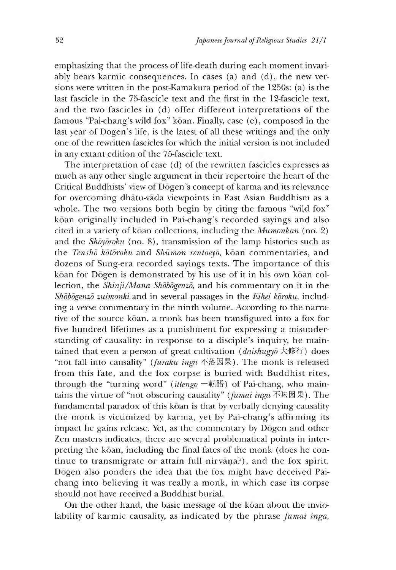emphasizing that the process of life-death during each moment invariably bears karmic consequences. In cases (a) and (d), the new versions were written in the post-Kamakura period of the 1250s: (a) is the last fascicle in the 75-fascicle text and the first in the 12-fascicle text, and the two fascicles in (d) offer different interpretations of the famous "Pai-chang's wild fox" koan. Finally, case (e), composed in the last year of Dōgen's life, is the latest of all these writings and the only one of the rewritten fascicles for which the initial version is not included in any extant edition of the 75-fascicle text.

The interpretation of case (d) of the rewritten fascicles expresses as much as any other single argument in their repertoire the heart of the Critical Buddhists' view of Dogen's concept of karma and its relevance for overcoming dhātu-vāda viewpoints in East Asian Buddhism as a whole. The two versions both begin by citing the famous "wild fox" kōan originally included in Pai-chang's recorded sayings and also cited in a variety of koan collections, including the *Mumonkan* (no. 2) and the *Shoyoroku* (no. 8), transmission of the lamp histories such as the *Tensho kotoroku* and *Shumon rentdeyd,* koan commentaries, and dozens of Sung-era recorded sayings texts. The importance of this koan for Dogen is demonstrated by his use of it in his own koan collection, the *Shinji/Mana Shobogenzo,* and his commentary on it in the *Shobogenzo zuimonki* and in several passages in the *Eihei koroku,* including a verse commentary in the ninth volume. According to the narrative of the source koan, a monk has been transfigured into a fox for five hundred lifetimes as a punishment for expressing a misunderstanding of causality: in response to a disciple's inquiry, he maintained that even a person of great cultivation *(daishugyo* 大修行) does "not fall into causality" *{furaku inga* 不落因果). The monk is released from this fate, and the fox corpse is buried with Buddhist rites, through the "turning word" *(ittengo* 一転語) of Pai-chang, who maintains the virtue of "not obscuring causality" (*fumai inga* 不昧因果). The fundamental paradox of this koan is that by verbally denying causality the monk is victimized by karma, yet by Pai-chang's affirming its impact he gains release. Yet, as the commentary by Dogen and other Zen masters indicates, there are several problematical points in interpreting the koan, including the final fates of the monk (does he continue to transmigrate or attain full nirvana?), and the fox spirit. Dogen also ponders the idea that the fox might have deceived Paichang into believing it was really a monk, in which case its corpse should not have received a Buddhist burial.

On the other hand, the basic message of the koan about the inviolability of karmic causality, as indicated by the phrase *fumai inga*,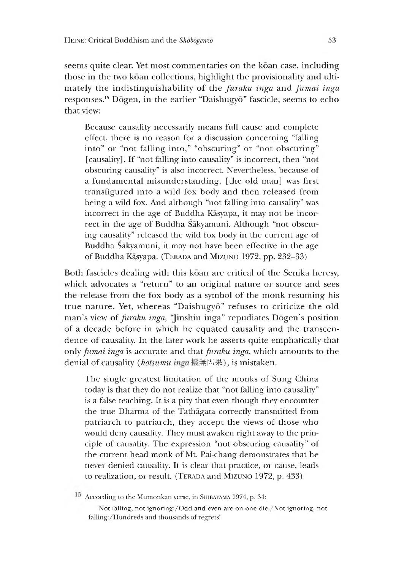seems quite clear. Yet most commentaries on the koan case, including those in the two koan collections, highlight the provisionality and ultimately the indistinguishability of the *furaku inga* and *fumai inga* responses.<sup>15</sup> Dogen, in the earlier "Daishugyo" fascicle, seems to echo that view:

Because causality necessarily means full cause and complete effect, there is no reason for a discussion concerning "falling into" or "not falling into," "obscuring" or "not obscuring" [causality]. If "not falling into causality" is incorrect, then "not obscuring causality" is also incorrect. Nevertheless, because of a fundamental misunderstanding, [the old man] was first transfigured into a wild fox body and then released from being a wild fox. And although "not falling into causality" was incorrect in the age of Buddha Kasyapa, it may not be incorrect in the age of Buddha Sakyamuni. Although "not obscuring causality" released the wild fox body in the current age of Buddha Sākyamuni, it may not have been effective in the age of Buddha Kasyapa. (TERADA and MIZUNO 1972, pp. 232-33)

Both fascicles dealing with this koan are critical of the Senika heresy, which advocates a "return" to an original nature or source and sees the release from the fox body as a symbol of the monk resuming his true nature. Yet, whereas "Daishugyō" refuses to criticize the old man's view of *furaku inga*, "Jinshin inga" repudiates Dōgen's position of a decade before in which he equated causality and the transcendence of causality. In the later work he asserts quite emphatically that only *fumai inga* is accurate and that *furaku inga,* which amounts to the denial of causality (hotsumu inga 撥無因果), is mistaken.

The single greatest limitation of the monks of Sung China today is that they do not realize that "not falling into causality" is a false teaching. It is a pity that even though they encounter the true Dharma of the Tathagata correctly transmitted from patriarch to patriarch, they accept the views of those who would deny causality. They must awaken right away to the principle of causality. The expression "not obscuring causality" of the current head monk of Mt. Pai-chang demonstrates that he never denied causality. It is clear that practice, or cause, leads to realization, or result. (TERADA and MIZUNO 1972, p. 433)

15 According to the Mumonkan verse, in SHIBAYAMA 1974, p. 34:

Not falling, not ignoring:/Odd and even are on one die./Not ignoring, not falling:/Hundreds and thousands of regrets!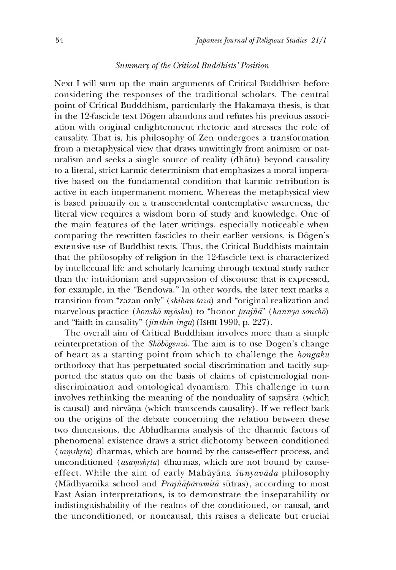#### *Summary of the Critical Buddhists*? *Position*

Next I will sum up the main arguments of Critical Buddhism before considering the responses of the traditional scholars. The central point of critical Budddhism, particularly the Hakamaya thesis, is that in the 12-fascicle text Dogen abandons and refutes his previous association with original enlightenment rhetoric and stresses the role of causality. That is, his philosophy of Zen undergoes a transformation from a metaphysical view that draws unwittingly from animism or naturalism and seeks a single source of reality (dhatu) beyond causality to a literal, strict karmic determinism that emphasizes a moral imperative based on the fundamental condition that karmic retribution is active in each impermanent moment. Whereas the metaphysical view is based primarily on a transcendental contemplative awareness, the literal view requires a wisdom born of study and knowledge. One of the main features of the later writings, especially noticeable when comparing the rewritten fascicles to their earlier versions, is Dōgen's extensive use of Buddhist texts. Thus, the Critical Buddhists maintain that the philosophy of religion in the 12-fascicle text is characterized by intellectual life and scholarly learning through textual study rather than the intuitionism and suppression of discourse that is expressed, for example, in the "Bendōwa." In other words, the later text marks a transition from "zazan only" *(shikan-taza)* and "original realization and marvelous practice *(honsho mydshu)* to "honor *prajnd" (hannya soncho)* and "faith in causality" (*jinshin inga*) (ISHII 1990, p. 227).

The overall aim of Critical Buddhism involves more than a simple reinterpretation of the *Shobogenzo*. The aim is to use Dogen's change of heart as a starting point from which to challenge the *hongaku* orthodoxy that has perpetuated social discrimination and tacitly supported the status quo on the basis of claims of epistemologial nondiscrimination and ontological dynamism. This challenge in turn involves rethinking the meaning of the nonduality of samsara (which is causal) and nirvana (which transcends causality). If we reflect back on the origins of the debate concerning the relation between these two dimensions, the Abhidharma analysis of the dharmic factors of phenomenal existence draws a strict dichotomy between conditioned *(samskrta)* dharmas,which are bound by the cause-effect process, and unconditioned (*asamskrta)* dharmas, which are not bound by causeeffect. While the aim of early Mahayana *sunyavada* philosophy (Mādhyamika school and *Prajnāpāramitā* sūtras), according to most East Asian interpretations, is to demonstrate the inseparability or indistinguishability of the realms of the conditioned, or causal, and the unconditioned, or noncausal, this raises a delicate but crucial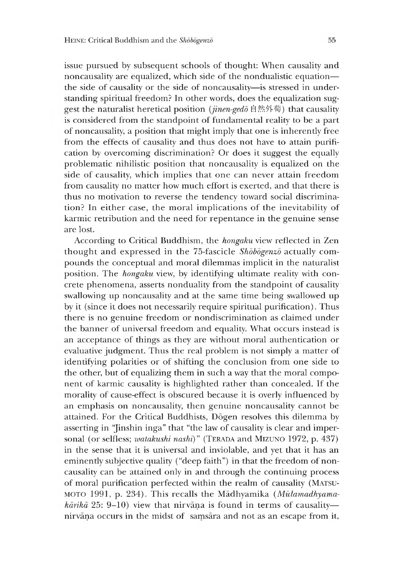issue pursued by subsequent schools of thought: When causality and noncausality are equalized, which side of the nondualistic equation一 the side of causality or the side of noncausality-is stressed in understanding spiritual freedom? In other words, does the equalization suggest the naturalist heretical position (*jinen-gedo* 自然外萄) that causality is considered from the standpoint of fundamental reality to be a part of noncausality, a position that might imply that one is inherently free from the effects of causality and thus does not have to attain purification by overcoming discrimination? Or does it suggest the equally problematic nihilistic position that noncausality is equalized on the side of causality, which implies that one can never attain freedom from causality no matter how much effort is exerted, and that there is thus no motivation to reverse the tendency toward social discrimination? In either case, the moral implications of the inevitability of karmic retribution and the need for repentance in the genuine sense are lost.

According to Critical Buddhism, the *hongaku* view reflected in Zen thought and expressed in the 75-fascicle *Shobogenzo* actually compounds the conceptual and moral dilemmas implicit in the naturalist position. The *hongaku* view, by identifying ultimate reality with concrete phenomena, asserts nonduality from the standpoint of causality swallowing up noncausality and at the same time being swallowed up by it (since it does not necessarily require spiritual purification). Thus there is no genuine freedom or nondiscrimination as claimed under the banner of universal freedom and equality. What occurs instead is an acceptance of things as they are without moral authentication or evaluative judgment. Thus the real problem is not simply a matter of identifying polarities or of shifting the conclusion from one side to the other, but of equalizing them in such a way that the moral component of karmic causality is highlighted rather than concealed. If the morality of cause-effect is obscured because it is overly influenced by an emphasis on noncausality, then genuine noncausality cannot be attained. For the Critical Buddhists, Dogen resolves this dilemma by asserting in "Jinshin inga" that "the law of causality is clear and impersonal (or selfless; *watakushi nashi*)" (TERADA and MIZUNO 1972, p. 437) in the sense that it is universal and inviolable, and yet that it has an eminently subjective quality ("deep faith") in that the freedom of noncausality can be attained only in and through the continuing process of moral purification perfected within the realm of causality (Matsumoto 1991 p. 234). This recalls the Madhyamika *(Mulamadhyamakārikā* 25: 9-10) view that nirvāņa is found in terms of causality nirvana occurs in the midst of samsara and not as an escape from it,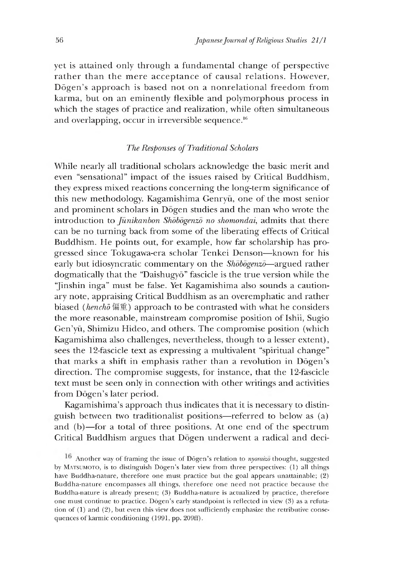yet is attained only through a fundamental change of perspective rather than the mere acceptance of causal relations. However, Dōgen's approach is based not on a nonrelational freedom from karma, but on an eminently flexible and polymorphous process in which the stages of practice and realization, while often simultaneous and overlapping, occur in irreversible sequence.<sup>16</sup>

# *The Responses of Traditional Scholars*

While nearly all traditional scholars acknowledge the basic merit and even "sensational" impact of the issues raised by Critical Buddhism, they express mixed reactions concerning the long-term significance of this new methodology. Kagamishima Genryu, one of the most senior and prominent scholars in Dogen studies and the man who wrote the introduction to *Junikanbon Shobogenzo no shomondai,* admits that there can be no turning back from some of the liberating effects of Critical Buddhism. He points out, for example, how far scholarship has progressed since Tokugawa-era scholar Tenkei Denson—known for his early but idiosyncratic commentary on the *Shobogenzo*~argued rather dogmatically that the "Daishugyō" fascicle is the true version while the "Jinshin inga" must be false. Yet Kagamishima also sounds a cautionary note, appraising Critical Buddhism as an overemphatic and rather biased *(henchd 偏鱼*) approach to be contrasted with what he considers the more reasonable, mainstream compromise position of Ishii, Sugio Gen'yū, Shimizu Hideo, and others. The compromise position (which Kagamishima also challenges, nevertheless, though to a lesser extent), sees the 12-fascicle text as expressing a multivalent "spiritual change" that marks a shift in emphasis rather than a revolution in Dōgen's direction. The compromise suggests, for instance, that the 12-fascicle text must be seen only in connection with other writings and activities from Dōgen's later period.

Kagamishima's approach thus indicates that it is necessary to distinguish between two traditionalist positions—referred to below as (a) and (b)—for a total of three positions. At one end of the spectrum Critical Buddhism argues that Dogen underwent a radical and deci-

<sup>16</sup> Another way of framing the issue of Dogen's relation to *nyoraizo* thought, suggested by MATSUMOTO, is to distinguish Dōgen's later view from three perspectives: (1) all things have Buddha-nature, therefore one must practice but the goal appears unattainable; (2) Buddha-nature encompasses all things, therefore one need not practice because the Buddha-nature is already present; (3) Buddha-nature is actualized by practice, therefore one must continue to practice. Dōgen's early standpoint is reflected in view (3) as a refutation of  $(1)$  and  $(2)$ , but even this view does not sufficiently emphasize the retributive consequences of karmic conditioning (1991, pp. 209ff).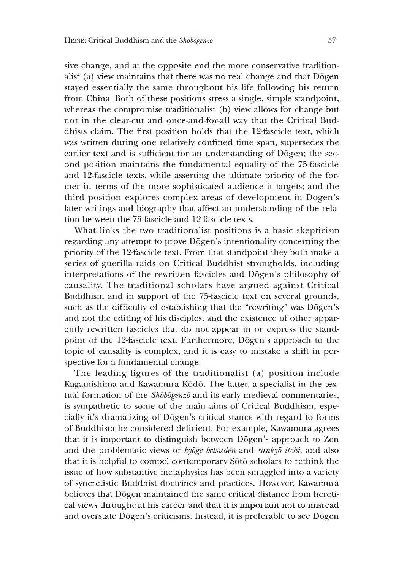sive change, and at the opposite end the more conservative traditionalist (a) view maintains that there was no real change and that Dogen stayed essentially the same throughout his life following his return from China. Both of these positions stress a single, simple standpoint, whereas the compromise traditionalist (b) view allows for change but not in the clear-cut and once-and-for-all way that the Critical Buddhists claim. The first position holds that the 12-fascicle text, which was written during one relatively confined time span, supersedes the earlier text and is sufficient for an understanding of Dogen; the second position maintains the fundamental equality of the 75-fascicle and  $12$ -fascicle texts, while asserting the ultimate priority of the former in terms of the more sophisticated audience it targets; and the third position explores complex areas of development in Dōgen's later writings and biography that affect an understanding of the relation between the 75-fascicle and 12-fascicle texts.

What links the two traditionalist positions is a basic skepticism regarding any attempt to prove Dōgen's intentionality concerning the priority of the 12-fascicle text. From that standpoint they both make a series of guerilla raids on Critical Buddhist strongholds, including interpretations of the rewritten fascicles and Dōgen's philosophy of causality. The traditional scholars have argued against Critical Buddhism and in support of the 75-fascicle text on several grounds, such as the difficulty of establishing that the "rewriting" was Dōgen's and not the editing of his disciples, and the existence of other apparently rewritten fascicles that do not appear in or express the standpoint of the 12-fascicle text. Furthermore, Dōgen's approach to the topic of causality is complex, and it is easy to mistake a shift in perspective for a fundamental change.

The leading figures of the traditionalist (a) position include Kagamishima and Kawamura Kodo. The latter, a specialist in the textual formation of the *Shobogenzo* and its early medieval commentaries, is sympathetic to some of the main aims of Critical Buddhism, especially it's dramatizing of Dōgen's critical stance with regard to forms of Buddhism he considered deficient. For example, Kawamura agrees that it is important to distinguish between Dōgen's approach to Zen and the problematic views of *kydge betsuden* and *sankyd itchi,* and also that it is helpful to compel contemporary Soto scholars to rethink the issue of how substantive metaphysics has been smuggled into a variety of syncretistic Buddhist doctrines and practices. However, Kawamura believes that Dogen maintained the same critical distance from heretical views throughout his career and that it is important not to misread and overstate Dögen's criticisms. Instead, it is preferable to see Dögen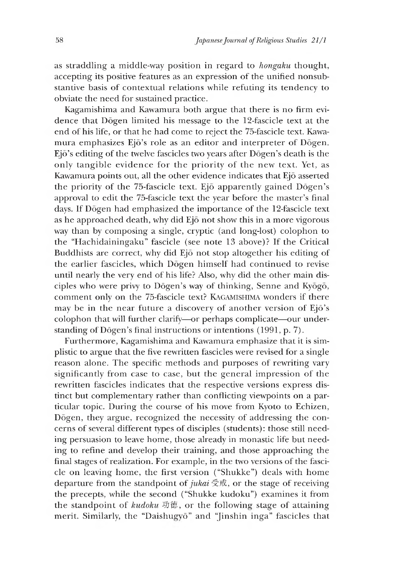as straddling a middle-way position in regard to *hongaku* thought, accepting its positive features as an expression of the unified nonsubstantive basis of contextual relations while refuting its tendency to obviate the need for sustained practice.

Kagamishima and Kawamura both argue that there is no firm evidence that Dogen limited his message to the 12-fascicle text at the end of his life, or that he had come to reject the 75-fascicle text. Kawamura emphasizes Ejō's role as an editor and interpreter of Dogen. Ejo's editing of the twelve fascicles two years after Dogen's death is the only tangible evidence for the priority of the new text. Yet, as Kawamura points out, all the other evidence indicates that Ejo asserted the priority of the 75-fascicle text. Ejo apparently gained Dogen's approval to edit the 75-fascicle text the year before the master's final days. If Dogen had emphasized the importance of the 12-fascicle text as he approached death, why did Ejo not show this in a more vigorous way than by composing a single, cryptic (and long-lost) colophon to the "Hachidainingaku" fascicle (see note 13 above)? If the Critical Buddhists are correct, why did Ejo not stop altogether his editing of the earlier fascicles, which Dogen himself had continued to revise until nearly the very end of his life? Also, why did the other main disciples who were privy to Dōgen's way of thinking, Senne and Kyōgō, comment only on the 75-fascicle text? KAGAMISHIMA wonders if there may be in the near future a discovery of another version of Ejo's colophon that will further clarify-or perhaps complicate-our understanding of Dōgen's final instructions or intentions (1991, p. 7).

Furthermore, Kagamishima and Kawamura emphasize that it is simplistic to argue that the five rewritten fascicles were revised for a single reason alone. The specific methods and purposes of rewriting vary significantly from case to case, but the general impression of the rewritten fascicles indicates that the respective versions express distinct but complementary rather than conflicting viewpoints on a particular topic. During the course of his move from Kyoto to Echizen, Dogen, they argue, recognized the necessity of addressing the concerns of several different types of disciples (students): those still needing persuasion to leave home, those already in monastic life but needing to refine and develop their training, and those approaching the final stages of realization. For example, in the two versions of the fascicle on leaving home, the first version ("Shukke") deals with home departure from the standpoint of *jukai* 受戒, or the stage of receiving the precepts, while the second ("Shukke kudoku") examines it from the standpoint of *kudoku* 功徳, or the following stage of attaining merit. Similarly, the "Daishugyō" and "Jinshin inga" fascicles that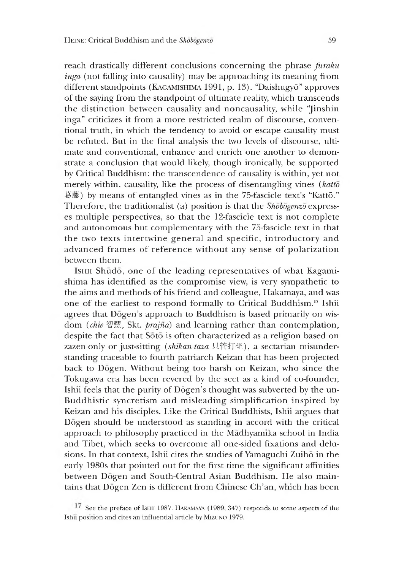reach drastically different conclusions concerning the phrase *furaku inga* (not falling into causality) may be approaching its meaning from different standpoints (KAGAMISHIMA 1991, p. 13). "Daishugyō" approves of the saying from the standpoint of ultimate reality, which transcends the distinction between causality and noncausality, while "Jinshin inga" criticizes it from a more restricted realm of discourse, conventional truth, in which the tendency to avoid or escape causality must be refuted. But in the final analysis the two levels of discourse, ultimate and conventional, enhance and enrich one another to demonstrate a conclusion that would likely, though ironically, be supported by Critical Buddhism: the transcendence of causality is within, yet not merely within, causality, like the process of disentangling vines *(katto* 葛藤) by means of entangled vines as in the 75-fascicle text's "Kattō." Therefore, the traditionalist (a) position is that the *shobogenzo* expresses multiple perspectives, so that the 12-fascicle text is not complete and autonomous but complementary with the 75-fascicle text in that the two texts intertwine general and specific, introductory and advanced frames of reference without any sense of polarization between them.

ISHII Shūdō, one of the leading representatives of what Kagamishima has identified as the compromise view, is very sympathetic to the aims and methods of his friend and colleague, Hakamaya, and was one of the earliest to respond formally to Critical Buddhism.17 Ishii agrees that Dogen's approach to Buddhism is based primarily on wisdom *(chie* 智慧, Skt. *prajñā*) and learning rather than contemplation, despite the fact that Soto is often characterized as a religion based on zazen-only or just-sitting *(shikan-taza* 只管打坐), a sectarian misunderstanding traceable to fourth patriarch Keizan that has been projected back to Doeen. Without being too harsh on Keizan, who since the Tokugawa era has been revered by the sect as a kind of co-founder, Ishii feels that the purity of Dōgen's thought was subverted by the un-Buddhistic syncretism and misleading simplification inspired by Keizan and his disciples. Like the Critical Buddhists, Ishii areues that Dogen should be understood as standing in accord with the critical approach to philosophy practiced in the Madhyamika school in India and Tibet, which seeks to overcome all one-sided fixations and delusions. In that context, Ishii cites the studies of Yamaguchi Zuiho in the early 1980s that pointed out for the first time the significant affinities between Dogen and South-Central Asian Buddhism. He also maintains that Dogen Zen is different from Chinese Ch'an, which has been

 $17$  See the preface of Ishii 1987. Накамауа (1989, 347) responds to some aspects of the Ishii position and cites an influential article by Mizuno 1979.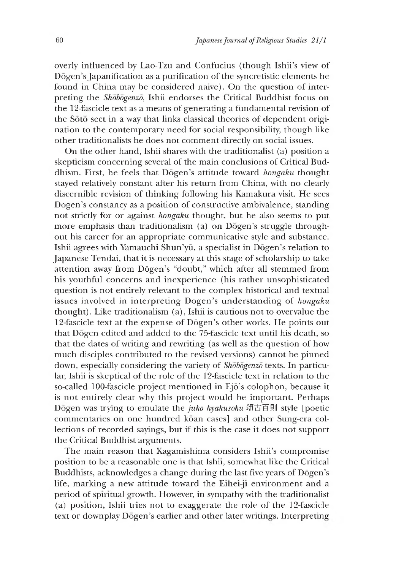overly influenced by Lao-Tzu and Confucius (though Ishii's view of Dōgen's Japanification as a purification of the syncretistic elements he found in China may be considered naive). On the question of interpreting the *Shobogenzo,* Ishii endorses the critical Buddhist focus on the 12-fascicle text as a means of generating a fundamental revision of the Soto sect in a way that links classical theories of dependent origination to the contemporary need for social responsibility, though like other traditionalists he does not comment directly on social issues.

On the other hand, Ishii shares with the traditionalist (a) position a skepticism concerning several of the main conclusions of Critical Buddhism. First, he feels that Dōgen's attitude toward *hongaku* thought stayed relatively constant after his return from China, with no clearly discernible revision of thinking following his Kamakura visit. He sees Dōgen's constancy as a position of constructive ambivalence, standing not strictly for or against *hongaku* thought, but he also seems to put more emphasis than traditionalism (a) on Dogen's struggle throughout his career for an appropriate communicative style and substance. Ishii agrees with Yamauchi Shun'yū, a specialist in Dōgen's relation to Japanese Tendai, that it is necessary at this stage of scholarship to take attention away from Dōgen's "doubt," which after all stemmed from his youthful concerns and inexperience (his rather unsophisticated question is not entirely relevant to the complex historical and textual issues involved in interpreting Dōgen's understanding of *hongaku* thought). Like traditionalism (a), Ishii is cautious not to overvalue the 12-fascicle text at the expense of Dōgen's other works. He points out that Dogen edited and added to the 75-fascicle text until his death, so that the dates of writing and rewriting (as well as the question of how much disciples contributed to the revised versions) cannot be pinned down, especially considering the variety of *Shobogenzo* texts. In particular, Ishii is skeptical of the role of the 12-fascicle text in relation to the so-called 100-fascicle project mentioned in Ejō's colophon, because it is not entirely clear why this project would be important. Perhaps Dogen was trying to emulate the *juko hyakusoku* 頌古百則 style [poetic commentaries on one hundred koan cases] and other Sung-era collections of recorded sayines, but if this is the case it does not support the Critical Buddhist arguments.

The main reason that Kagamishima considers Ishii's compromise position to be a reasonable one is that Ishii, somewhat like the Critical Buddhists, acknowledges a change during the last five years of Dōgen's life, marking a new attitude toward the Eihei-ji environment and a period of spiritual growth. However, in sympathy with the traditionalist (a) position, Ishii tries not to exaggerate the role of the 12-fascicle text or downplay Dogen's earlier and other later writings. Interpreting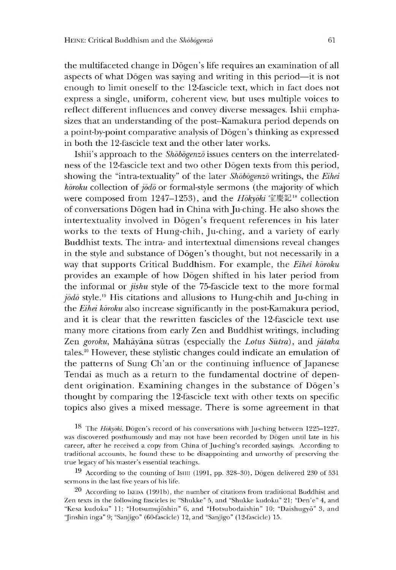the multifaceted change in Dōgen's life requires an examination of all aspects of what Dogen was saying and writing in this period—it is not enough to limit oneself to the 12-fascicle text, which in fact does not express a single, uniform, coherent view, but uses multiple voices to reflect different influences and convey diverse messages. Ishii emphasizes that an understanding of the post-Kamakura period depends on a point-by-point comparative analysis of Dōgen's thinking as expressed in both the 12-fascicle text and the other later works.

Ishii's approach to the *Shobogenzo* issues centers on the interrelatedness of the 12-fascicle text and two other Dogen texts from this period, showing the "intra-textuality" of the later *Shobogenzo* writings, the *Eihei koroku* collection of *jodo* or formal-style sermons (the majority of which were composed from 1247-1253), and the *Hokyoki* 宝慶記18 collection of conversations Doeen had in China with Ju-chmg. He also shows the intertextuality involved in Dogen's frequent references in his later works to the texts of Hung-chih, Ju-ching, and a variety of early Buddhist texts. The intra- and intertextual dimensions reveal changes in the style and substance of Dōgen's thought, but not necessarily in a way that supports Critical Buddhism. For example, the *Eihei koroku* provides an example of how Dogen shifted in his later period from the informal or *jishu* style of the 75-fascicle text to the more formal *jodo* style.<sup>19</sup> His citations and allusions to Hung-chih and Ju-ching in the *Eihei koroku* also increase significantly in the post-Kamakura period, and it is clear that the rewritten fascicles of the 12-fascicle text use many more citations from early Zen and Buddhist writings, including Zen *goroku,* Mahayana sutras (especially the *Lotus Sutra)*, and *jataka* tales.20 However, these stylistic changes could indicate an emulation of the patterns of Sung Ch'an or the continuing influence of Japanese Tendai as much as a return to the fundamental doctrine of dependent origination. Examining changes in the substance of Dōgen's thought by comparing the 12-fascicle text with other texts on specific topics also eives a mixed message. There is some agreement in that

<sup>18</sup> The *Hokyoki*, Dogen's record of his conversations with Ju-ching between 1225-1227, was discovered posthumously and may not have been recorded by Dogen until late in his career, after he received a copy from China of Ju-ching's recorded sayings. According to traditional accounts, he found these to be disappointing and unworthy of preserving the true legacy of his master's essential teachings.

 $19$  According to the counting of Ishii (1991, pp. 328-30), Dogen delivered 230 of 531 sermons in the last five years of his life.

 $20$  According to IKEDA (1991b), the number of citations from traditional Buddhist and Zen texts in the following fascicles is: "Shukke" 5, and "Shukke kudoku" 21; "Den'e" 4, and "Kesa kudoku" 11; "Hotsumujōshin" 6, and "Hotsubodaishin" 10; "Daishugyō" 3, and 'Jinshin inga" 9; "Sanjigo" (60-fascicle)12, and "Sanjigo" (12-fascicle)15.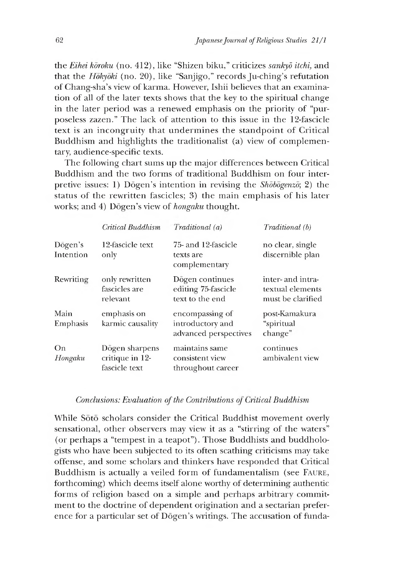the *Eihei koroku* (no. 412), like "Shizen biku," criticizes *sankyo itchi*, and that the *Hokyoki* (no. 20), like "Sanjigo," records Ju-ching's refutation of Chang-sha's view of karma. However, Ishii believes that an examination of all of the later texts shows that the key to the spiritual change in the later period was a renewed emphasis on the priority of "purposeless zazen." The lack of attention to this issue in the 12-fascicle text is an incongruity that undermines the standpoint of critical Buddhism and highlights the traditionalist (a) view of complementary, audience-specific texts.

The following chart sums up the major differences between Critical Buddhism and the two forms of traditional Buddhism on four interpretive issues: 1) Dōgen's intention in revising the *Shōbōgenzō*; 2) the status of the rewritten fascicles; 3) the main emphasis of his later works; and 4) Dōgen's view of *hongaku* thought.

|                      | Critical Buddhism                                  | Traditional (a)                                              | Traditional (b)                                            |
|----------------------|----------------------------------------------------|--------------------------------------------------------------|------------------------------------------------------------|
| Dögen's<br>Intention | 12-fascicle text<br>only                           | 75- and 12-fascicle<br>texts are<br>complementary            | no clear, single<br>discernible plan                       |
| Rewriting            | only rewritten<br>fascicles are<br>relevant        | Dogen continues<br>editing 75-fascicle<br>text to the end    | inter- and intra-<br>textual elements<br>must be clarified |
| Main<br>Emphasis     | emphasis on<br>karmic causality                    | encompassing of<br>introductory and<br>advanced perspectives | post-Kamakura<br>"spiritual<br>change"                     |
| On<br>Hongaku        | Dogen sharpens<br>critique in 12-<br>fascicle text | maintains same<br>consistent view<br>throughout career       | continues<br>ambivalent view                               |

#### *Conclusions: Evaluation of the Contributions of Critical Buddhism*

While Soto scholars consider the Critical Buddhist movement overly sensational, other observers may view it as a "stirring of the waters" (or perhaps a "tempest in a teapot"). Those Buddhists and buddholoeists who have been subjected to its often scathine criticisms may take offense, and some scholars and thinkers have responded that Critical Buddhism is actually a veiled form of fundamentalism (see Faure, forthcoming) which deems itself alone worthy of determining authentic forms of religion based on a simple and perhaps arbitrary commitment to the doctrine of dependent origination and a sectarian preference for a particular set of Dōgen's writings. The accusation of funda-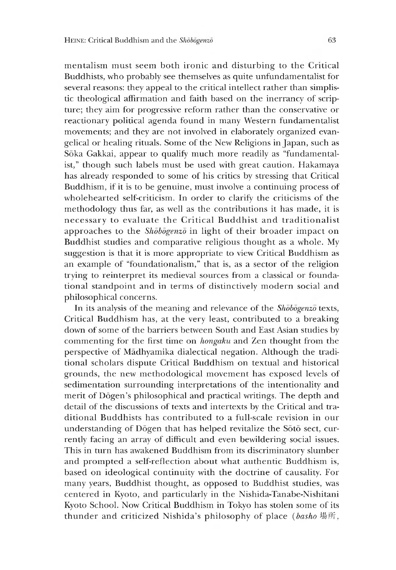mentalism must seem both ironic and disturbing to the critical Buddhists, who probably see themselves as quite unfundamentalist for several reasons: they appeal to the critical intellect rather than simplistic theological affirmation and faith based on the inerrancy of scripture; they aim for progressive reform rather than the conservative or reactionary political agenda found in many Western fundamentalist movements; and they are not involved in elaborately organized evangelical or healing rituals. Some of the New Religions in Japan, such as Sōka Gakkai, appear to qualify much more readily as "fundamentalist," though such labels must be used with great caution. Hakamaya has already responded to some of his critics by stressing that Critical Buddhism, if it is to be genuine, must involve a continuing process of wholehearted self-criticism. In order to clarify the criticisms of the methodology thus far, as well as the contributions it has made, it is necessary to evaluate the critical Buddhist and traditionalist approaches to the *Shobogenzo* in light of their broader impact on Buddhist studies and comparative religious thought as a whole. My suggestion is that it is more appropriate to view Critical Buddhism as an example of "foundationalism," that is, as a sector of the religion trying to reinterpret its medieval sources from a classical or foundational standpoint and in terms of distinctively modern social and philosophical concerns.

In its analysis of the meaning and relevance of the *Shobogenzo* texts, Critical Buddhism has, at the very least, contributed to a breaking down of some of the barriers between South and East Asian studies by commenting for the first time on *hongaku* and Zen thought from the perspective of Madhyamika dialectical negation. Although the traditional scholars dispute critical Buddhism on textual and historical grounds, the new methodological movement has exposed levels of sedimentation surrounding interpretations of the intentionality and merit of Dōgen's philosophical and practical writings. The depth and detail of the discussions of texts and intertexts by the Critical and traditional Buddhists has contributed to a full-scale revision in our understanding of Dogen that has helped revitalize the Soto sect, currently facing an array of difficult and even bewildering social issues. This in turn has awakened Buddhism from its discriminatory slumber and prompted a self-reflection about what authentic Buddhism is, based on ideological continuity with the doctrine of causality. For many years, Buddhist thought, as opposed to Buddhist studies, was centered in Kyoto, and particularly in the Nishida-Tanabe-Nishitani Kyoto School. Now Critical Buddhism in Tokyo has stolen some of its thunder and criticized Nishida's philosophy of place *(basho* 場所,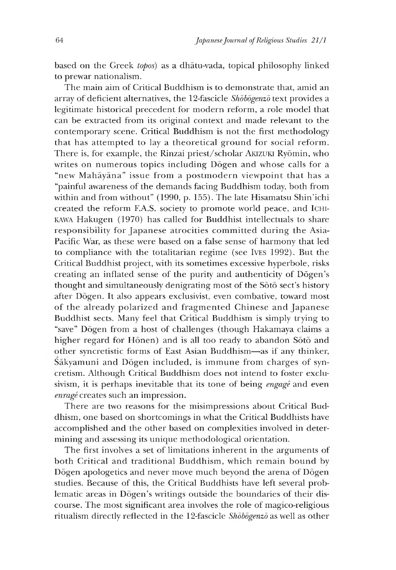based on the Greek *topos)* as a dhatu-vada, topical philosophy linked to prewar nationalism.

The main aim of Critical Buddhism is to demonstrate that, amid an array of deficient alternatives, the 12-fascicle *Shobogenzo* text provides a legitimate historical precedent for modern reform, a role model that can be extracted from its original context and made relevant to the contemporary scene. Critical Buddhism is not the first methodology that has attempted to lay a theoretical ground for social reform. There is, for example, the Rinzai priest/scholar AKIZUKI Ryomin, who writes on numerous topics including Dogen and whose calls for a "new Mahāyāna" issue from a postmodern viewpoint that has a "painful awareness of the demands facing Buddhism today, both from within and from without" (1990, p. 155). The late Hisamatsu Shin'ichi created the reform F.A.S. society to promote world peace, and ICHIkawa Hakugen (1970) has called for Buddhist intellectuals to share responsibility for Japanese atrocities committed during the Asia-Pacific War, as these were based on a false sense of harmony that led to compliance with the totalitarian regime (see Ives 1992). But the Critical Buddhist project, with its sometimes excessive hyperbole, risks creating an inflated sense of the purity and authenticity of Dōgen's thought and simultaneously denigrating most of the Soto sect's history after Dogen. It also appears exclusivist, even combative, toward most of the already polarized and fragmented Chinese and Japanese Buddhist sects. Many feel that Critical Buddhism is simply trying to "save" Dogen from a host of challenges (though Hakamaya claims a higher regard for Hōnen) and is all too ready to abandon Sōtō and other syncretistic forms of East Asian Buddhism—as if any thinker, Sakyamuni and Dogen included, is immune from charges of syncretism. Although Critical Buddhism does not intend to foster exclusivism, it is perhaps inevitable that its tone of being *engage* and even *enrage* creates such an impression.

There are two reasons for the misimpressions about Critical Buddhism, one based on shortcomings in what the Critical Buddhists have accomplished and the other based on complexities involved in determining and assessing its unique methodological orientation.

The first involves a set of limitations inherent in the arguments of both Critical and traditional Buddhism, which remain bound by Dogen apologetics and never move much beyond the arena of Dogen studies. Because of this, the Critical Buddhists have left several problematic areas in Dogen's writings outside the boundaries of their discourse. The most significant area involves the role of magico-religious ritualism directly reflected in the 12-fascicle *Shobogenzo* as well as other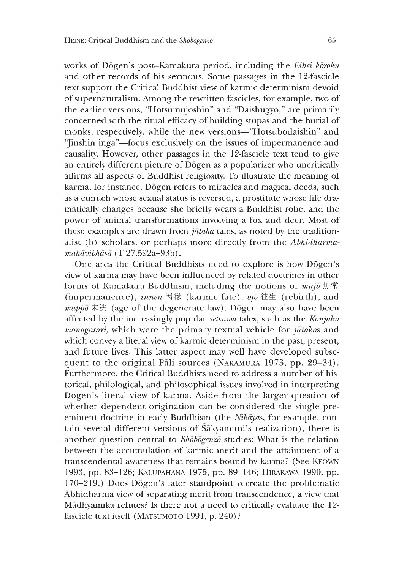works of Dōgen's post-Kamakura period, including the *Eihei kōroku* and other records of his sermons. Some passages in the 12-fascicle text support the Critical Buddhist view of karmic determinism devoid of supernaturalism. Among the rewritten fascicles, for example, two of the earlier versions, "Hotsumujoshin" and "Daishugyo," are primarily concerned with the ritual efficacy of building stupas and the burial of monks, respectively, while the new versions— "Hotsubodaishin" and "[inshin inga"—focus exclusively on the issues of impermanence and causality. However, other passages in the 12-fascicle text tend to give an entirely different picture of Dogen as a popularizer who uncritically affirms all aspects of Buddhist religiosity. To illustrate the meaning of karma, for instance, Dogen refers to miracles and magical deeds, such as a eunuch whose sexual status is reversed, a prostitute whose life dramatically changes because she briefly wears a Buddhist robe, and the power of animal transformations involving a fox and deer. Most of these examples are drawn from *jataka* tales, as noted by the traditionalist (b) scholars, or perhaps more directly from the *Abhidharmamahdvibhdsa* (T 27.592a-93b).

One area the Critical Buddhists need to explore is how Dōgen's view of karma may have been influenced by related doctrines in other forms of Kamakura Buddhism, including the notions of *mujo* 無常 (impermanence), *innen* 因縁 (karmic fate),  $\overline{\partial}i\overline{\partial}$  往生 (rebirth), and *mappo* 末 法 (age of the degenerate law). Dogen may also have been affected by the increasingly popular *setsuwa* tales, such as the *Konjaku monogatari*, which were the primary textual vehicle for *jatakas* and which convey a literal view of karmic determinism in the past, present, and future lives. This latter aspect may well have developed subsequent to the original Pali sources (NAKAMURA 1973, pp. 29-34). Furthermore, the Critical Buddhists need to address a number of historical, philological, and philosophical issues involved in interpreting Dōgen's literal view of karma. Aside from the larger question of whether dependent origination can be considered the single preeminent doctrine in early Buddhism (the *Nikayas*, for example, contain several different versions of Sakyamuni's realization), there is another question central to *Shobogenzo* studies: What is the relation between the accumulation of karmic merit and the attainment of a transcendental awareness that remains bound by karma? (See Keown 1993, pp. 83-126; KALUPAHANA 1975, pp. 89-146; HIRAKAWA 1990, pp.  $170-219$ .) Does Dogen's later standpoint recreate the problematic Abhidharma view of separating merit from transcendence, a view that Madhyamika refutes? Is there not a need to critically evaluate the 12 fascicle text itself (MATSUMOTO 1991, p. 240)?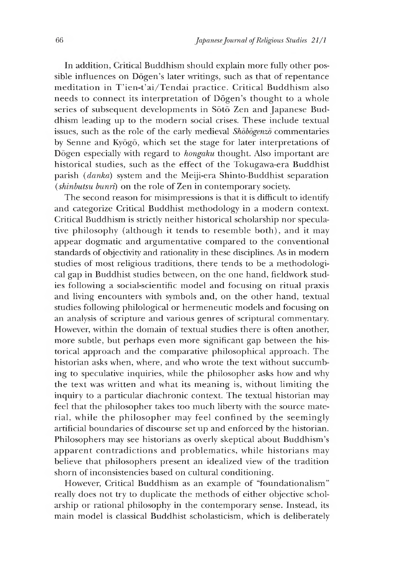In addition, critical Buddhism should explain more fully other possible influences on Dōgen's later writings, such as that of repentance meditation in T'ien-t'ai/Tendai practice. Critical Buddhism also needs to connect its interpretation of Dōgen's thought to a whole series of subsequent developments in Sōtō Zen and Japanese Buddhism leading up to the modern social crises. These include textual issues, such as the role of the early medieval *Shobogenzo* commentaries by Senne and Kyogo, which set the stage for later interpretations of Dogen especially with regard to *hongaku* thought. Also important are historical studies, such as the effect of the Tokugawa-era Buddhist parish (*danka)* system and the Meiji-era Shinto-Buddhist separation *(shinbutsu bunri)* on the role of Zen in contemporary society.

The second reason for misimpressions is that it is difficult to identify and categorize Critical Buddhist methodology in a modern context. Critical Buddhism is strictly neither historical scholarship nor speculative philosophy (although it tends to resemble both), and it may appear dogmatic and argumentative compared to the conventional standards of objectivity and rationality in these disciplines. As in modem studies of most religious traditions, there tends to be a methodological gap in Buddhist studies between, on the one hand, fieldwork studies following a social-scientific model and focusing on ritual praxis and living encounters with symbols and, on the other hand, textual studies following philological or hermeneutic models and focusing on an analysis of scripture and various genres of scriptural commentary. However, within the domain of textual studies there is often another, more subtle, but perhaps even more significant gap between the historical approach and the comparative philosophical approach. The historian asks when, where, and who wrote the text without succumbing to speculative inquiries, while the philosopher asks how and why the text was written and what its meaning is, without limiting the inquiry to a particular diachronic context. The textual historian may feel that the philosopher takes too much liberty with the source material, while the philosopher may feel confined by the seemingly artificial boundaries of discourse set up and enforced by the historian. Philosophers may see historians as overly skeptical about Buddhism's apparent contradictions and problematics, while historians may believe that philosophers present an idealized view of the tradition shorn of inconsistencies based on cultural conditioning.

However, Critical Buddhism as an example of "foundationalism" really does not try to duplicate the methods of either objective scholarship or rational philosophy in the contemporary sense. Instead, its main model is classical Buddhist scholasticism, which is deliberately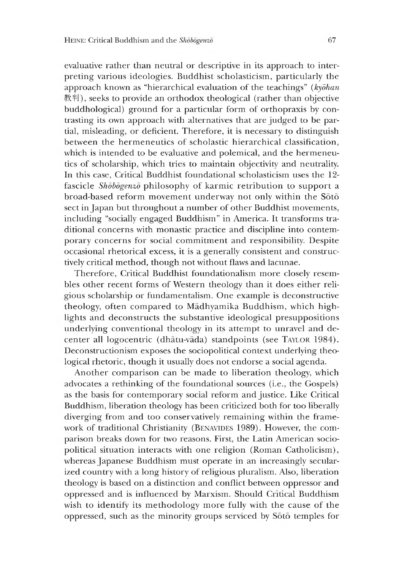evaluative rather than neutral or descriptive in its approach to interpreting various ideologies. Buddhist scholasticism, particularly the approach known as "hierarchical evaluation of the teachings" *(kydhan* 教判), seeks to provide an orthodox theological (rather than objective buddhological) ground for a particular form of orthopraxis by contrasting its own approach with alternatives that are judged to be partial, misleading, or deficient. Therefore, it is necessary to distinguish between the hermeneutics of scholastic hierarchical classification, which is intended to be evaluative and polemical, and the hermeneutics of scholarship, which tries to maintain objectivity and neutrality. In this case, Critical Buddhist foundational scholasticism uses the 12 fascicle *Shobogenzo* philosophy of karmic retribution to support a broad-based reform movement underway not only within the Soto sect in Japan but throughout a number of other Buddhist movements, including "socially engaged Buddnism" in America. It transforms traditional concerns with monastic practice and discipline into contemporary concerns for social commitment and responsibility. Despite occasional rhetorical excess, it is a generally consistent and constructively critical method, though not without flaws and lacunae.

Therefore, Critical Buddhist foundationalism more closely resembles other recent forms of Western theology than it does either relieious scholarship or fundamentalism. One example is deconstructive theology, often compared to Madhyamika Buddhism, which highlights and deconstructs the substantive ideological presuppositions underlying conventional theology in its attempt to unravel and decenter all logocentric (dhātu-vāda) standpoints (see TAYLOR 1984). Deconstructionism exposes the sociopolitical context underlying theological rhetoric, though it usually does not endorse a social agenda.

Another comparison can be made to liberation theology, which advocates a rethinking of the foundational sources (i.e., the Gospels) as the basis for contemporary social reform and justice. Like Critical Buddhism, liberation theology has been criticized both for too liberally diverging from and too conservatively remaining within the framework of traditional Christianity (BENAVIDES 1989). However, the comparison breaks down for two reasons. First, the Latin American sociopolitical situation interacts with one religion (Roman Catholicism), whereas Japanese Buddhism must operate in an increasingly secularized country with a long history of religious pluralism. Also, liberation theoloev is based on a distinction and conflict between oppressor and oppressed and is influenced by Marxism. Should Critical Buddhism wish to identify its methodology more fully with the cause of the oppressed, such as the minority groups serviced by Soto temples for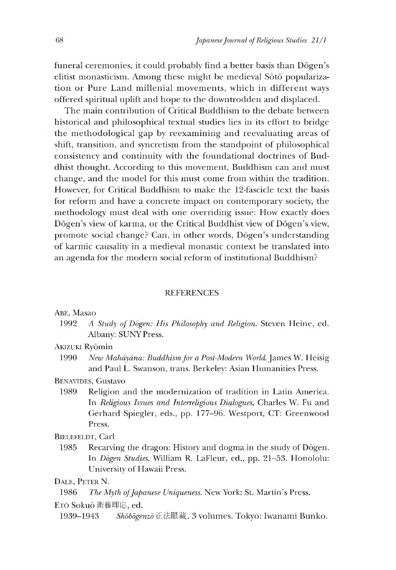funeral ceremonies, it could probably find a better basis than Dōgen's elitist monasticism. Among these might be medieval Soto popularization or Pure Land millenial movements, which in different ways offered spiritual uplift and hope to the downtrodden and displaced.

The main contribution of Critical Buddhism to the debate between historical and philosophical textual studies lies in its effort to bridge the methodological gap by reexamining and reevaluating areas of shift, transition, and syncretism from the standpoint of philosophical consistency and continuity with the foundational doctrines of Buddhist thought. According to this movement, Buddhism can and must change, and the model for this must come from within the tradition. However, for Critical Buddhism to make the 12-fascicle text the basis for reform and have a concrete impact on contemporary society, the methodology must deal with one overriding issue: How exactly does Dōgen's view of karma, or the Critical Buddhist view of Dōgen's view, promote social change? Can, in other words, Dōgen's understanding of karmic causality in a medieval monastic context be translated into an agenda for the modern social reform of institutional Buddhism?

#### **REFERENCES**

## Abe, Masao

1992 *A Study of Dogen: His Philosophy and Religion.* Steven Heine, ed. Albany: SUNY Press.

# **AKIZUKI Ryomin**

1990 *New Mahayana: Buddhism for a Post-Modern World.* James W. Heisig and Paul L. Swanson, trans. Berkeley: Asian Humanities Press.

# Benavides, Gustavo

1989 Religion and the modernization of tradition in Latin America. In *Religious Issues and Interreligious Dialogues,* Charles W. Fu and Gerhard Spiegler, eds., pp. 177-96. Westport, CT: Greenwood Press.

Bielefeldt, Carl

1985 Recarving the dragon: History and dogma in the study of Dogen. In *Dogen Studies,* William R. LaFleur, ed., pp. 21-53. Honololu: University of Hawaii Press.

Dale, Peter N.

1986 *The Myth of Japanese Uniqueness.* New York: St. Martin's Press.

ETO Sokuō 衛藤即応, ed.

1939–1943 Shōbōgenzō 正法眼蔵. 3 volumes. Tokyo: Iwanami Bunko.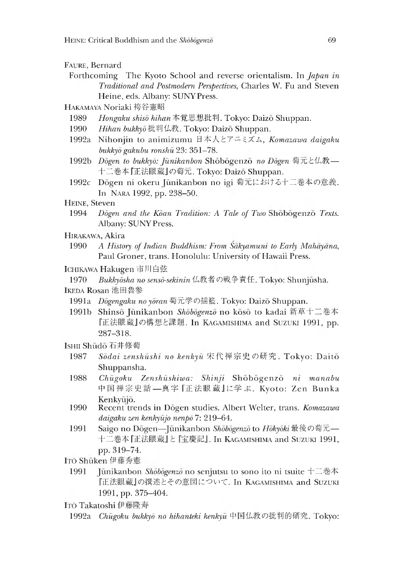#### Faure, Bernard

Forthcoming The Kyoto School and reverse orientalism. In *Japan in Traditional and Postmodern Perspectives*,Charles W. Fu and Steven Heine, eds. Albany: SUNY Press.

#### Hakamaya Noriaki 袴谷憲昭

- 1989 *Hongaku shiso hihan* 本覚思想批判. Tokyo: Daizo Shuppan.
- 1990 *Hihan bukkyo* 批判仏教. Tokyo: Daizo Shuppan.
- 1992a Nihonjm to animizumu 日本人と广ニミズム*,Komazawa daigaku bukkyd gakubu ronshu* 23: 351-78.
- 1992b *Dogen to bukkyd: Junikanbon* Shobogenzo *no Dogen* 萄兀と仏教一 十二卷本『正法眼蔵』の萄兀. Tokyo: Daizo Shuppan.
- 1992c Dogen ni okeru Jūnikanbon no igi 萄元における十二巻本の意義. In NARA 1992, pp. 238-50.

# HEINE, Steven

- 1994 *Dogen and the Koan Tradition: A Tale of Two* shobogenzo *Texts.* Albany: SUNY Press.
- Hirakawa, Akira
- 1990 *A History of Indian Buddhism: From Sakyamuni to Early Mahayana,* Paul Groner, trans. Honolulu: University of Hawaii Press.

#### Ichikawa Hakugen 市川白弦

1970 *Bukkydsha no sensd-sekinin*仏教者の戦争責任. Tokyo: Shunjusha.

#### IKEDA Rosan 池田魯参

- 1991a *Dogengaku no voran* 萄元学の揺籃. Tokyo: Daizo Shuppan.
- 1991b Shinso Junikanbon *Shobogenzo* no koso to kadai 新草十二卷本 『正法眼蔵』の構想と課題. In KAGAMISHIMA and SUZUKI 1991, pp. 287-318.

# Ishii Shudo 石井修萄

- 1987 *Sodai zenshushi no kenkyu* 宋代禅宗史の研究. Tokyo: Daito Shuppansha.
- 1988 *Chugoku Zenshushiwa: ^m nn* Snobogenzo *m manabu* 中国禅宗史話 - 真字 『正法眼蔵』に学ぶ. Kyoto: Zen Bunka Kenkyūjō.
- 1990 Recent trends in Dogen studies. Albert Welter, trans. *Komazawa daigaku zen kenkyujo nenpd* 7: 219-64.
- 1991 Saigo no Dogen—Junikanbon *Shobogenzo* to Hokyoki 最後の萄元— 十二卷本『正法眼蔵』と『宝慶記』. In Kagamishima and Suzuki 1991, pp. 319-74.

Ito Shuken伊藤秀憲

1991 Junikanbon *Shobogenzo* no senjutsu to sono ito ni tsuite 十二卷本 『正法眼蔵』の撰述とその意図について. In Kagamishima and Suzuki 1991, pp. 375–404.

ITO Takatoshi 伊藤隆寿

<sup>1992</sup>a *Chugoku bukkyd no hihanteki kenkyu* 中国仏教の批判的研究. Tokyo: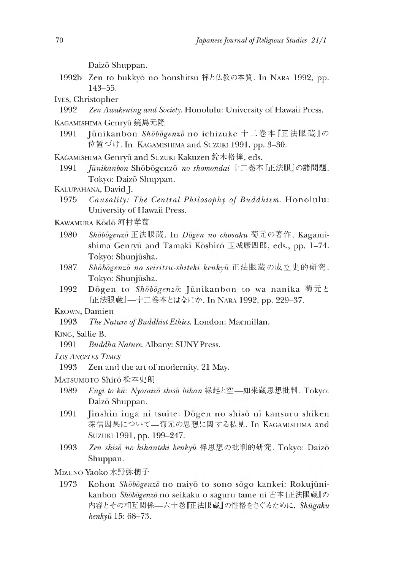Daizō Shuppan.

- 1992b Zen to bukkyō no honshitsu 禅と仏教の本質. In NARA 1992, pp. 143-55.
- Ives, Christopher
- 1992 *Zen Awakening and Society.* Honolulu: University of Hawaii Press.
- KAGAMISHIMA Genryū 鏡島元隆
- 1991 Junikanbon *Shobogenzo* no ichizuke 十二卷本『正法眼蔵』の 位置づけ. In KAGAMISHIMA and SUZUKI 1991, pp. 3-30.

KAGAMISHIMA Genryū and SUZUKI Kakuzen 鈴木格禅, eds.

1991 *Junikanbon* Shobogenzo *no shomondai* 十二卷本『正法眼』の諸問題. Tokyo: Daizo Shuppan.

# Kalupahana, David J.

1975 *Causality: The Central Philosophy of Buddhism.* Honolulu: University of Hawaii Press.

# KAWAMURA Kodo 河村孝萄

- 1980 *Shobogenzo* 正法眼蔵. In *Dogen no chosaku* 萄兀の著作,Kagamishima Genryū and Tamaki Kōshirō 玉城康四郎, eds., pp. 1-74. Tokyo: Shunjusha.
- 1987 *Shobogenzo no seiritsu-shiteki kenkyu* 正法眼蔵の成立史的研究. Tokyo: Shunjusha.
- 1992 Dōgen to *Shōbōgenzō*: Jūnikanbon to wa nanika 萄元と 『正法眼蔵』一十二巻本とはなにか. In Nara 1992 pp. 229-37.

#### Keown, Damien

- 1993 *The Nature of Buddhist Ethics.* London: Macmillan.
- King, Sallie B.
- 1991 *Buddha Nature.* Albany: SUNY Press.
- *L o s A ngeles Tim es*
	- 1993 Zen and the art of modernity. 21 May.
- MATSUMOTO Shirō 松本史朗
	- 1989 *Engi to ku: Nyoraizo shiso hihan* 縁起と空一如来蔵思想批判. Tokyo: Daizō Shuppan.
	- 1991 Jinshin inga ni tsuite: Dōgen no shisō ni kansuru shiken 深信因果について—萄元の思想に関する私見. In KAGAMISHIMA and SUZUKI 1991, pp. 199-247.
	- 1993 *Zen shiso no hihanteki kenkyu* 禅思想の批判的研究. Tokyo: Daizo shuppan.
- Mizuno Yaoko水野弥穂子
	- 1973 Kohon *Shōbōgenzō* no naiyō to sono sōgo kankei: Rokujūnikanbon *Shōbogenzo* no seikaku o saguru tame ni 古本『正法眼蔵』の 内容とその相互関係一六十巻『正法眼蔵』の性格をさぐるために*. SMgaku kenkyu* 15: 68-73.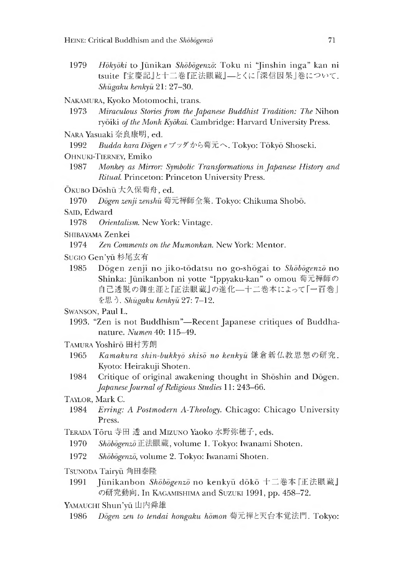1979 *Hokyoki* to Junikan *Shobogenzo:* Toku ni "Jinshin inga" kan ni tsuite『宝慶記』と十二巻『正法眼蔵』一とくに「深信因果」巻について. *Shugaku kenkyu* 21:27-30.

Nakamura, Kyoko Motomochi, trans.

1973 *Miraculous Stories from the Japanese Buddhist Tradition: The* Nihon ryoiki *of the Monk Kydkai.* Cambridge: Harvard University Press.

Nara Yasuaki 奈良康明,ed.

- 1992 *Budda kara Dogen e ブッ*ダから萄元へ. Tokyo: Tokyo Shoseki.
- OHNUKI-TIERNEY, Emiko
	- 1987 *Monkey as Mirror: Symbolic Transformations in Japanese History and Ritual.* Princeton: Princeton University Press.
- OKUBO Doshu 大久保萄舟, ed.

1970 *Dogen zenji zenshu* 萄兀禅師全集. Tokyo: Chikuma Shobo.

1978 *Orientalism.* New York: Vintage.

Shibayama Zenkei

SAID, Edward

1974 *Zen Comments on the Mumonkan.* New York: Mentor.

SuGIO Gen'yū杉尾玄有

1985 Dogen zenji no jiko-todatsu no go-shogai to *Shobogenzo* no Shinka: Jūnikanbon ni yotte "Ippyaku-kan" o omou 萄元禅師の 自己透脱の御生涯と『正法眼蔵』の進化––十二巻本によって「一百巻」 を思う. *Shūgaku kenkyū* 27: 7-12.

Swanson, Paul L.

- 1993. "Zen is not Buddhism"-Recent Japanese critiques of Buddhanature. *Numen* 40:115-49.
- Tamura Yoshiro 田村芳朗
	- 1965 *Kamakura shin-bukkyd shiso no kenkyu* 錄食新仏教思想の研究. Kyoto: Heirakuji Shoten.
	- 1984 Critique of original awakening thought in Shoshin and Dogen. *Japanese Journal of Religious Studies* 11:243-66.

Taylor, Mark C.

1984 *Erring: A Postmodern A-Theology*. Chicago: Chicago University Press.

TERADA Tōru 寺田 透 and MIZUNO Yaoko 水野弥穂子, eds.

- 1970 *Shobogenzo* 正法眼蔵, volume 1. Tokyo: Iwanami Shoten.
- 1972 *Shobogenzo,* volume 2. Tokyo: Iwanami Shoten.
- TSUNODA Tairyū 角田泰隆
	- 1991 Jūnikanbon *Shōbōgenzō* no kenkyū dōkō 十二巻本『正法眼蔵』 の研究動向. In KAGAMISHIMA and SUZUKI 1991, pp. 458-72.

YAMAUCHI Shun'yū 山内舜雄

1986 *Dogen zen to tendai hongaku homon* 萄兀禅と天台本覚法門. Tokyo: